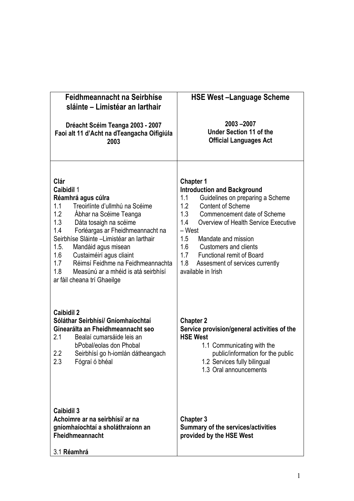| Feidhmeannacht na Seirbhíse<br>sláinte - Limistéar an Iarthair<br>Dréacht Scéim Teanga 2003 - 2007<br>Faoi alt 11 d'Acht na dTeangacha Oifigiúla<br>2003                                                                                                                                                                                                                                                                               | <b>HSE West-Language Scheme</b><br>2003-2007<br><b>Under Section 11 of the</b><br><b>Official Languages Act</b>                                                                                                                                                                                                                                                                                                     |
|----------------------------------------------------------------------------------------------------------------------------------------------------------------------------------------------------------------------------------------------------------------------------------------------------------------------------------------------------------------------------------------------------------------------------------------|---------------------------------------------------------------------------------------------------------------------------------------------------------------------------------------------------------------------------------------------------------------------------------------------------------------------------------------------------------------------------------------------------------------------|
| Clár<br>Caibidil 1<br>Réamhrá agus cúlra<br>1.1<br>Treoirlínte d'ullmhú na Scéime<br>1.2<br>Abhar na Scéime Teanga<br>1.3<br>Dáta tosaigh na scéime<br>1.4<br>Forléargas ar Fheidhmeannacht na<br>Seirbhíse Sláinte - Limistéar an Iarthair<br>1.5.<br>Mandáid agus misean<br>1.6<br>Custaiméirí agus cliaint<br>Réimsí Feidhme na Feidhmeannachta<br>1.7<br>1.8<br>Measúnú ar a mhéid is atá seirbhísí<br>ar fáil cheana trí Ghaeilge | <b>Chapter 1</b><br><b>Introduction and Background</b><br>1.1<br>Guidelines on preparing a Scheme<br>1.2<br><b>Content of Scheme</b><br>1.3<br>Commencement date of Scheme<br>1.4<br>Overview of Health Service Executive<br>- West<br>1.5<br>Mandate and mission<br>1.6<br><b>Customers and clients</b><br>1.7<br><b>Functional remit of Board</b><br>1.8<br>Assesment of services currently<br>available in Irish |
| Caibidil 2<br>Sóláthar Seirbhísí/ Gníomhaíochtaí<br>Ginearálta an Fheidhmeannacht seo<br>2.1<br>Bealaí cumarsáide leis an<br>bPobal/eolas don Phobal<br>2.2<br>Seirbhísí go h-iomlán dátheangach<br>2.3<br>Fógraí ó bhéal                                                                                                                                                                                                              | <b>Chapter 2</b><br>Service provision/general activities of the<br><b>HSE West</b><br>1.1 Communicating with the<br>public/information for the public<br>1.2 Services fully bilingual<br>1.3 Oral announcements                                                                                                                                                                                                     |
| <b>Caibidil 3</b><br>Achoimre ar na seirbhísí/ ar na<br>gníomhaíochtaí a sholáthraíonn an<br><b>Fheidhmeannacht</b><br>3.1 Réamhrá                                                                                                                                                                                                                                                                                                     | <b>Chapter 3</b><br><b>Summary of the services/activities</b><br>provided by the HSE West                                                                                                                                                                                                                                                                                                                           |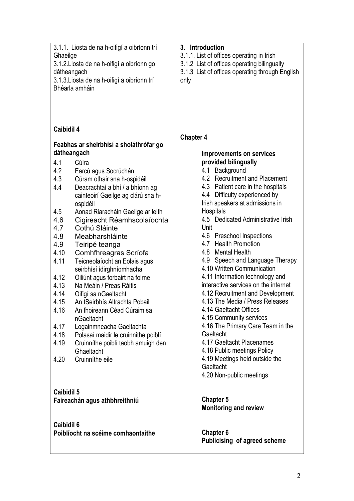| 3.1.1. Liosta de na h-oifigí a oibríonn trí<br>Ghaeilge<br>3.1.2. Liosta de na h-oifigí a oibríonn go<br>dátheangach<br>3.1.3. Liosta de na h-oifigí a oibríonn trí<br>Bhéarla amháin                                                                                                                                                                                                                                                                                                                                                                                                                                                                                                                                                                                                                                                                                                                           | 3. Introduction<br>3.1.1. List of offices operating in Irish<br>3.1.2 List of offices operating bilingually<br>3.1.3 List of offices operating through English<br>only                                                                                                                                                                                                                                                                                                                                                                                                                                                                                                                                                                                                                                                                        |
|-----------------------------------------------------------------------------------------------------------------------------------------------------------------------------------------------------------------------------------------------------------------------------------------------------------------------------------------------------------------------------------------------------------------------------------------------------------------------------------------------------------------------------------------------------------------------------------------------------------------------------------------------------------------------------------------------------------------------------------------------------------------------------------------------------------------------------------------------------------------------------------------------------------------|-----------------------------------------------------------------------------------------------------------------------------------------------------------------------------------------------------------------------------------------------------------------------------------------------------------------------------------------------------------------------------------------------------------------------------------------------------------------------------------------------------------------------------------------------------------------------------------------------------------------------------------------------------------------------------------------------------------------------------------------------------------------------------------------------------------------------------------------------|
| Caibidil 4<br>Feabhas ar sheirbhísí a sholáthrófar go<br>dátheangach<br>4.1<br>Cúlra<br>4.2<br>Earcú agus Socrúchán<br>4.3<br>Cúram othair sna h-ospidéil<br>4.4<br>Deacrachtaí a bhí / a bhíonn ag<br>cainteoirí Gaeilge ag clárú sna h-<br>ospidéil<br>4.5<br>Aonad Riaracháin Gaeilge ar leith<br>4.6<br>Cigireacht Réamhscolaíochta<br>Cothú Sláinte<br>4.7<br>4.8<br>Meabharshláinte<br>4.9<br>Teiripé teanga<br>4.10<br>Comhfhreagras Scríofa<br>4.11<br>Teicneolaíocht an Eolais agus<br>seirbhísí ídirghníomhacha<br>4.12<br>Oiliúnt agus forbairt na foirne<br>4.13<br>Na Meáin / Preas Ráitis<br>4.14<br>Oifigí sa nGaeltacht<br>4.15<br>An tSeirbhís Altrachta Pobail<br>4.16<br>An fhoireann Céad Cúraim sa<br>nGaeltacht<br>4.17<br>Logainmneacha Gaeltachta<br>4.18<br>Polasaí maidir le cruinnithe poiblí<br>4.19<br>Cruinníthe poiblí taobh amuigh den<br>Ghaeltacht<br>4.20<br>Cruinníthe eile | <b>Chapter 4</b><br><b>Improvements on services</b><br>provided bilingually<br>4.1 Background<br>4.2 Recruitment and Placement<br>4.3 Patient care in the hospitals<br>4.4 Difficulty experienced by<br>Irish speakers at admissions in<br>Hospitals<br>4.5 Dedicated Administrative Irish<br>Unit<br>4.6 Preschool Inspections<br>4.7 Health Promotion<br>4.8 Mental Health<br>4.9 Speech and Language Therapy<br>4.10 Written Communication<br>4.11 Information technology and<br>interactive services on the internet<br>4.12 Recruitment and Development<br>4.13 The Media / Press Releases<br>4.14 Gaeltacht Offices<br>4.15 Community services<br>4.16 The Primary Care Team in the<br>Gaeltacht<br>4.17 Gaeltacht Placenames<br>4.18 Public meetings Policy<br>4.19 Meetings held outside the<br>Gaeltacht<br>4.20 Non-public meetings |
| <b>Caibidil 5</b>                                                                                                                                                                                                                                                                                                                                                                                                                                                                                                                                                                                                                                                                                                                                                                                                                                                                                               | <b>Chapter 5</b>                                                                                                                                                                                                                                                                                                                                                                                                                                                                                                                                                                                                                                                                                                                                                                                                                              |
| Faireachán agus athbhreithniú                                                                                                                                                                                                                                                                                                                                                                                                                                                                                                                                                                                                                                                                                                                                                                                                                                                                                   | <b>Monitoring and review</b>                                                                                                                                                                                                                                                                                                                                                                                                                                                                                                                                                                                                                                                                                                                                                                                                                  |
| Caibidil 6                                                                                                                                                                                                                                                                                                                                                                                                                                                                                                                                                                                                                                                                                                                                                                                                                                                                                                      | Chapter 6                                                                                                                                                                                                                                                                                                                                                                                                                                                                                                                                                                                                                                                                                                                                                                                                                                     |
| Poiblíocht na scéime comhaontaithe                                                                                                                                                                                                                                                                                                                                                                                                                                                                                                                                                                                                                                                                                                                                                                                                                                                                              | Publicising of agreed scheme                                                                                                                                                                                                                                                                                                                                                                                                                                                                                                                                                                                                                                                                                                                                                                                                                  |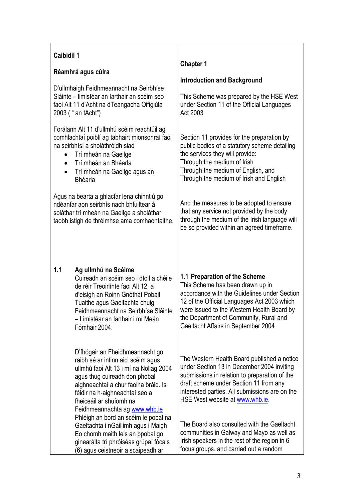| <b>Caibidil 1</b><br>$\bullet$<br>$\bullet$<br>$\bullet$ | Réamhrá agus cúlra<br>D'ullmhaigh Feidhmeannacht na Seirbhíse<br>Sláinte – limistéar an Iarthair an scéim seo<br>faoi Alt 11 d'Acht na dTeangacha Oifigiúla<br>2003 (" an tAcht")<br>Forálann Alt 11 d'ullmhú scéim reachtúil ag<br>comhlachtaí poiblí ag tabhairt mionsonraí faoi<br>na seirbhísí a sholáthróidh siad<br>Trí mheán na Gaeilge<br>Trí mheán an Bhéarla<br>Trí mheán na Gaeilge agus an<br><b>Bhéarla</b> | <b>Chapter 1</b><br><b>Introduction and Background</b><br>This Scheme was prepared by the HSE West<br>under Section 11 of the Official Languages<br>Act 2003<br>Section 11 provides for the preparation by<br>public bodies of a statutory scheme detailing<br>the services they will provide:<br>Through the medium of Irish<br>Through the medium of English, and<br>Through the medium of Irish and English |
|----------------------------------------------------------|--------------------------------------------------------------------------------------------------------------------------------------------------------------------------------------------------------------------------------------------------------------------------------------------------------------------------------------------------------------------------------------------------------------------------|----------------------------------------------------------------------------------------------------------------------------------------------------------------------------------------------------------------------------------------------------------------------------------------------------------------------------------------------------------------------------------------------------------------|
|                                                          | Agus na bearta a ghlacfar lena chinntiú go<br>ndéanfar aon seirbhís nach bhfuiltear á<br>soláthar trí mheán na Gaeilge a sholáthar<br>taobh istigh de thréimhse ama comhaontaithe.                                                                                                                                                                                                                                       | And the measures to be adopted to ensure<br>that any service not provided by the body<br>through the medium of the Irish language will<br>be so provided within an agreed timeframe.                                                                                                                                                                                                                           |
| 1.1                                                      | Ag ullmhú na Scéime<br>Cuireadh an scéim seo i dtoll a chéile<br>de réir Treoirlínte faoi Alt 12, a<br>d'eisigh an Roinn Gnóthaí Pobail<br>Tuaithe agus Gaeltachta chuig<br>Feidhmeannacht na Seirbhíse Sláinte<br>- Limistéar an Iarthair i mí Meán<br>Fómhair 2004.                                                                                                                                                    | 1.1 Preparation of the Scheme<br>This Scheme has been drawn up in<br>accordance with the Guidelines under Section<br>12 of the Official Languages Act 2003 which<br>were issued to the Western Health Board by<br>the Department of Community, Rural and<br>Gaeltacht Affairs in September 2004                                                                                                                |
|                                                          | D'fhógair an Fheidhmeannacht go<br>raibh sé ar intinn aici scéim agus<br>ullmhú faoi Alt 13 i mí na Nollag 2004<br>agus thug cuireadh don phobal<br>aighneachtaí a chur faoina bráid. Is<br>féidir na h-aighneachtaí seo a<br>fheiceáil ar shuíomh na<br>Feidhmeannachta ag www.whb.ie<br>Phléigh an bord an scéim le pobal na<br>Gaeltachta i nGaillimh agus i Maigh<br>Eo chomh maith leis an bpobal go                | The Western Health Board published a notice<br>under Section 13 in December 2004 inviting<br>submissions in relation to preparation of the<br>draft scheme under Section 11 from any<br>interested parties. All submissions are on the<br>HSE West website at www.whb.ie.<br>The Board also consulted with the Gaeltacht<br>communities in Galway and Mayo as well as                                          |
|                                                          | ginearálta trí phróiséas grúpaí fócais<br>(6) agus ceistneoir a scaipeadh ar                                                                                                                                                                                                                                                                                                                                             | Irish speakers in the rest of the region in 6<br>focus groups. and carried out a random                                                                                                                                                                                                                                                                                                                        |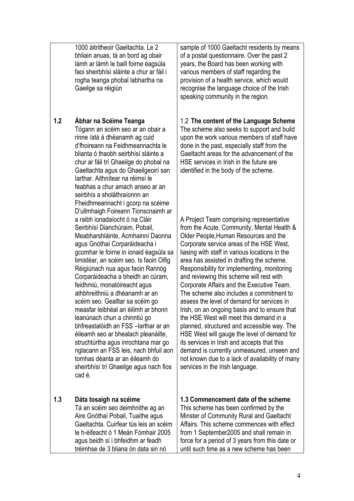1000 áitritheoir Gaeltachta. Le 2 bhliain anuas, tá an bord ag obair lámh ar lámh le baill foirne éagsúla faoi sheirbhísí sláinte a chur ar fáil i rogha teanga phobal labhartha na Gaeilge sa réigiún

### **1.2 Ábhar na Scéime Teanga**

Tógann an scéim seo ar an obair a rinne /atá á dhéanamh ag cuid d'fhoireann na Feidhmeannachta le blianta ó thaobh seirbhísí sláinte a chur ar fáil trí Ghaeilge do phobal na Gaeltachta agus do Ghaeilgeoirí san Iarthar. Aithnítear na réimsí le feabhas a chur amach anseo ar an seirbhís a sholáthraíonnn an Fheidhmeannacht i gcorp na scéime D'ullmhaigh Foireann Tionscnaimh ar a raibh ionadaíocht ó na Cláir Seirbhísí Dianchúraim, Pobail, Meabharshláinte, Acmhainní Daonna agus Gnóthaí Corparáideacha i gcomhar le foirne in ionaid éagsúla sa limistéar, an scéim seo. Is faoin Oifig Réigiúnach nua agus faoin Rannóg Corparáideacha a bheidh an cúram, feidhmiú, monatóireacht agus athbhreithniú a dhéanamh ar an scéim seo. Gealltar sa scéim go measfar leibhéal an éilimh ar bhonn leanúnach chun a chinntiú go bhfreastalóidh an FSS –Iarthar ar an éileamh seo ar bhealach pleanáilte, struchtúrtha agus inrochtana mar go nglacann an FSS leis, nach bhfuil aon tomhas déanta ar an éileamh do sheirbhísí trí Ghaeilge agus nach fios cad é.

#### **1.3 Dáta tosaigh na scéime**

Tá an scéim seo deimhnithe ag an Aire Gnóthaí Pobail, Tuaithe agus Gaeltachta. Cuirfear tús leis an scéim le h-éifeacht ó 1 Meán Fómhair 2005 agus beidh sí i bhfeidhm ar feadh tréimhse de 3 bliana ón data sin nó

sample of 1000 Gaeltacht residents by means of a postal questionnaire. Over the past 2 years, the Board has been working with various members of staff regarding the provision of a health service, which would recognise the language choice of the Irish speaking community in the region.

1.2 **The content of the Language Scheme** The scheme also seeks to support and build upon the work various members of staff have done in the past, especially staff from the Gaeltacht areas for the advancement of the HSE services in Irish in the future are identified in the body of the scheme.

A Project Team comprising representative from the Acute, Community, Mental Health & Older People,Human Resources and the Corporate service areas of the HSE West, liasing with staff in various locations in the area has assisted in drafting the scheme. Responsibility for implementing, monitoring and reviewing this scheme will rest with Corporate Affairs and the Executive Team. The scheme also includes a commitment to assess the level of demand for services in Irish, on an ongoing basis and to ensure that the HSE West will meet this demand in a planned, structured and accessible way. The HSE West will gauge the level of demand for its services in Irish and accepts that this demand is currently unmeasured, unseen and not known due to a lack of availability of many services in the Irish language.

# **1.3 Commencement date of the scheme**

This scheme has been confirmed by the Minster of Community Rural and Gaeltacht Affairs. This scheme commences with effect from 1 September2005 and shall remain in force for a period of 3 years from this date or until such time as a new scheme has been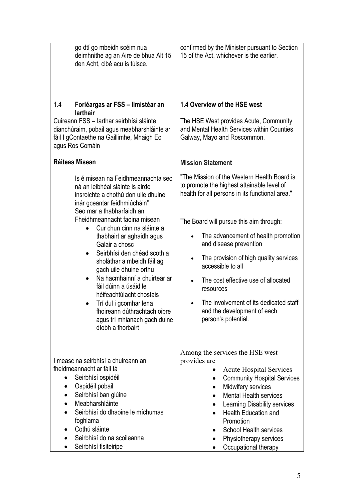| go dtí go mbeidh scéim nua<br>deimhnithe ag an Aire de bhua Alt 15<br>den Acht, cibé acu is túisce.                                                                                                                                                                                                                                                                                                                                                                                                                                                                                | confirmed by the Minister pursuant to Section<br>15 of the Act, whichever is the earlier.                                                                                                                                                                                                                                                                                                                                                                                                                          |
|------------------------------------------------------------------------------------------------------------------------------------------------------------------------------------------------------------------------------------------------------------------------------------------------------------------------------------------------------------------------------------------------------------------------------------------------------------------------------------------------------------------------------------------------------------------------------------|--------------------------------------------------------------------------------------------------------------------------------------------------------------------------------------------------------------------------------------------------------------------------------------------------------------------------------------------------------------------------------------------------------------------------------------------------------------------------------------------------------------------|
| 1.4<br>Forléargas ar FSS - limistéar an<br>larthair<br>Cuireann FSS - larthar seirbhísí sláinte<br>dianchúraim, pobail agus meabharshláinte ar<br>fáil I gContaethe na Gaillimhe, Mhaigh Eo<br>agus Ros Comáin                                                                                                                                                                                                                                                                                                                                                                     | 1.4 Overview of the HSE west<br>The HSE West provides Acute, Community<br>and Mental Health Services within Counties<br>Galway, Mayo and Roscommon.                                                                                                                                                                                                                                                                                                                                                                |
| Ráiteas Misean                                                                                                                                                                                                                                                                                                                                                                                                                                                                                                                                                                     | <b>Mission Statement</b>                                                                                                                                                                                                                                                                                                                                                                                                                                                                                           |
| Is é misean na Feidhmeannachta seo<br>ná an leibhéal sláinte is airde<br>insroichte a chothú don uile dhuine<br>inár gceantar feidhmiúcháin"<br>Seo mar a thabharfaidh an<br>Fheidhmeannacht faoina misean<br>Cur chun cinn na sláinte a<br>thabhairt ar aghaidh agus<br>Galair a chosc<br>Seirbhísí den chéad scoth a<br>sholáthar a mbeidh fáil ag<br>gach uile dhuine orthu<br>Na hacmhainní a chuirtear ar<br>fáil dúinn a úsáid le<br>héifeachtúlacht chostais<br>Trí dul i gcomhar lena<br>fhoireann dúthrachtach oibre<br>agus trí mhianach gach duine<br>díobh a fhorbairt | "The Mission of the Western Health Board is<br>to promote the highest attainable level of<br>health for all persons in its functional area."<br>The Board will pursue this aim through:<br>The advancement of health promotion<br>$\bullet$<br>and disease prevention<br>The provision of high quality services<br>$\bullet$<br>accessible to all<br>The cost effective use of allocated<br>resources<br>The involvement of its dedicated staff<br>$\bullet$<br>and the development of each<br>person's potential. |
| I measc na seirbhísí a chuireann an<br>fheidmeannacht ar fáil tá<br>Seirbhísí ospidéil<br>$\bullet$<br>Ospidéil pobail<br>Seirbhísí ban glúine<br>Meabharshláinte<br>Seirbhísí do dhaoine le míchumas<br>foghlama<br>Cothú sláinte<br>Seirbhísí do na scoileanna<br>Seirbhísí fisiteiripe                                                                                                                                                                                                                                                                                          | Among the services the HSE west<br>provides are<br><b>Acute Hospital Services</b><br><b>Community Hospital Services</b><br>Midwifery services<br>٠<br><b>Mental Health services</b><br>Learning Disability services<br>٠<br><b>Health Education and</b><br>Promotion<br><b>School Health services</b><br>Physiotherapy services<br>Occupational therapy                                                                                                                                                            |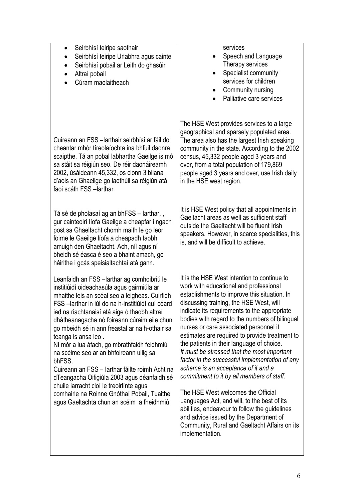| Seirbhísí teiripe saothair<br>Seirbhísí teiripe Urlabhra agus cainte<br>Seirbhísí pobail ar Leith do ghasúir<br>$\bullet$<br>Altraí pobail<br>$\bullet$<br>Cúram maolaitheach<br>$\bullet$                                                                                                                                                                                                                                                                                                                                                                                                                                                                                                                             | services<br>Speech and Language<br>Therapy services<br>Specialist community<br>services for children<br>Community nursing<br>Palliative care services                                                                                                                                                                                                                                                                                                                                                                                                                                                                                                                                                                                                                                                                                                                |
|------------------------------------------------------------------------------------------------------------------------------------------------------------------------------------------------------------------------------------------------------------------------------------------------------------------------------------------------------------------------------------------------------------------------------------------------------------------------------------------------------------------------------------------------------------------------------------------------------------------------------------------------------------------------------------------------------------------------|----------------------------------------------------------------------------------------------------------------------------------------------------------------------------------------------------------------------------------------------------------------------------------------------------------------------------------------------------------------------------------------------------------------------------------------------------------------------------------------------------------------------------------------------------------------------------------------------------------------------------------------------------------------------------------------------------------------------------------------------------------------------------------------------------------------------------------------------------------------------|
| Cuireann an FSS - larthair seirbhísí ar fáil do<br>cheantar mhór tíreolaíochta ina bhfuil daonra<br>scaipthe. Tá an pobal labhartha Gaeilge is mó<br>sa stáit sa réigiún seo. De réir daonáireamh<br>2002, úsáideann 45,332, os cionn 3 bliana<br>d'aois an Ghaeilge go laethúil sa réigiún atá<br>faoi scáth FSS - larthar                                                                                                                                                                                                                                                                                                                                                                                            | The HSE West provides services to a large<br>geographical and sparsely populated area.<br>The area also has the largest Irish speaking<br>community in the state. According to the 2002<br>census, 45,332 people aged 3 years and<br>over, from a total population of 179,869<br>people aged 3 years and over, use Irish daily<br>in the HSE west region.                                                                                                                                                                                                                                                                                                                                                                                                                                                                                                            |
| Tá sé de pholasaí ag an bhFSS – larthar,,<br>gur cainteoirí líofa Gaeilge a cheapfar i ngach<br>post sa Ghaeltacht chomh maith le go leor<br>foirne le Gaeilge líofa a cheapadh taobh<br>amuigh den Ghaeltacht. Ach, níl agus ní<br>bheidh sé éasca é seo a bhaint amach, go<br>háirithe i gcás speisialtachtaí atá gann.                                                                                                                                                                                                                                                                                                                                                                                              | It is HSE West policy that all appointments in<br>Gaeltacht areas as well as sufficient staff<br>outside the Gaeltacht will be fluent Irish<br>speakers. However, in scarce specialities, this<br>is, and will be difficult to achieve.                                                                                                                                                                                                                                                                                                                                                                                                                                                                                                                                                                                                                              |
| Leanfaidh an FSS - larthar ag comhoibriú le<br>institiúidí oideachasúla agus gairmiúla ar<br>mhaithe leis an scéal seo a leigheas. Cuirfidh<br>FSS - larthar in iúl do na h-institiúidí cuí céard<br>iad na riachtanaisí atá aige ó thaobh altraí<br>dhátheanagacha nó foireann cúraim eile chun<br>go mbeidh sé in ann freastal ar na h-othair sa<br>teanga is ansa leo.<br>Ní mór a lua áfach, go mbrathfaidh feidhmiú<br>na scéime seo ar an bhfoireann uilig sa<br>bhFSS.<br>Cuireann an FSS - Iarthar fáilte roimh Acht na<br>dTeangacha Oifigiúla 2003 agus déanfaidh sé<br>chuile iarracht cloí le treoirlínte agus<br>comhairle na Roinne Gnóthaí Pobail, Tuaithe<br>agus Gaeltachta chun an scéim a fheidhmiú | It is the HSE West intention to continue to<br>work with educational and professional<br>establishments to improve this situation. In<br>discussing training, the HSE West, will<br>indicate its requirements to the appropriate<br>bodies with regard to the numbers of bilingual<br>nurses or care associated personnel it<br>estimates are required to provide treatment to<br>the patients in their language of choice.<br>It must be stressed that the most important<br>factor in the successful implementation of any<br>scheme is an acceptance of it and a<br>commitment to it by all members of staff.<br>The HSE West welcomes the Official<br>Languages Act, and will, to the best of its<br>abilities, endeavour to follow the guidelines<br>and advice issued by the Department of<br>Community, Rural and Gaeltacht Affairs on its<br>implementation. |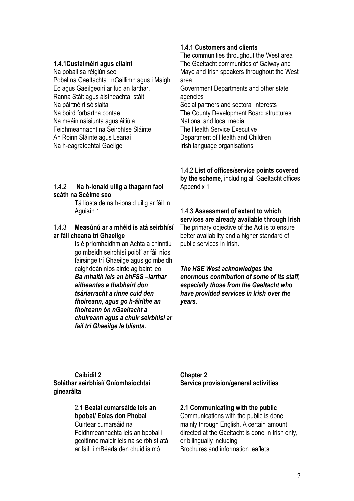|                                                                                                                                                                                                                                                                                                                                                                                                                                                                                                                                                                                                                       | <b>1.4.1 Customers and clients</b>                                                                                                                                                                                                                                                                                                                                                                                                                                                                                 |
|-----------------------------------------------------------------------------------------------------------------------------------------------------------------------------------------------------------------------------------------------------------------------------------------------------------------------------------------------------------------------------------------------------------------------------------------------------------------------------------------------------------------------------------------------------------------------------------------------------------------------|--------------------------------------------------------------------------------------------------------------------------------------------------------------------------------------------------------------------------------------------------------------------------------------------------------------------------------------------------------------------------------------------------------------------------------------------------------------------------------------------------------------------|
| 1.4.1 Custaiméirí agus cliaint<br>Na pobail sa réigiún seo<br>Pobal na Gaeltachta i nGaillimh agus i Maigh<br>Eo agus Gaeilgeoirí ar fud an Iarthar.<br>Ranna Stáit agus áisíneachtaí stáit<br>Na páirtnéirí sóisialta<br>Na boird forbartha contae<br>Na meáin náisiunta agus áitiúla<br>Feidhmeannacht na Seirbhíse Sláinte<br>An Roinn Sláinte agus Leanaí<br>Na h-eagraíochtaí Gaeilge                                                                                                                                                                                                                            | The communities throughout the West area<br>The Gaeltacht communities of Galway and<br>Mayo and Irish speakers throughout the West<br>area<br>Government Departments and other state<br>agencies<br>Social partners and sectoral interests<br>The County Development Board structures<br>National and local media<br>The Health Service Executive<br>Department of Health and Children<br>Irish language organisations                                                                                             |
| 1.4.2<br>Na h-ionaid uilig a thagann faoi<br>scáth na Scéime seo<br>Tá liosta de na h-ionaid uilig ar fáil in<br>Aguisín 1<br>1.4.3<br>Measúnú ar a mhéid is atá seirbhísí<br>ar fáil cheana trí Ghaeilge<br>Is é príomhaidhm an Achta a chinntiú<br>go mbeidh seirbhísí poiblí ar fáil níos<br>fairsinge trí Ghaeilge agus go mbeidh<br>caighdeán níos airde ag baint leo.<br>Ba mhaith leis an bhFSS-larthar<br>aitheantas a thabhairt don<br>tsáriarracht a rinne cuid den<br>fhoireann, agus go h-áirithe an<br>fhoireann ón nGaeltacht a<br>chuireann agus a chuir seirbhísí ar<br>fail trí Ghaeilge le blianta. | 1.4.2 List of offices/service points covered<br>by the scheme, including all Gaeltacht offices<br>Appendix 1<br>1.4.3 Assessment of extent to which<br>services are already available through Irish<br>The primary objective of the Act is to ensure<br>better availability and a higher standard of<br>public services in Irish.<br>The HSE West acknowledges the<br>enormous contribution of some of its staff,<br>especially those from the Gaeltacht who<br>have provided services in Irish over the<br>years. |
| <b>Caibidil 2</b><br>Soláthar seirbhísí/ Gníomhaíochtaí<br>ginearálta                                                                                                                                                                                                                                                                                                                                                                                                                                                                                                                                                 | <b>Chapter 2</b><br>Service provision/general activities                                                                                                                                                                                                                                                                                                                                                                                                                                                           |
| 2.1 Bealaí cumarsáide leis an<br>bpobal/ Eolas don Phobal<br>Cuirtear cumarsáid na<br>Feidhmeannachta leis an bpobal i<br>gcoitinne maidir leis na seirbhísí atá<br>ar fáil, i mBéarla den chuid is mó                                                                                                                                                                                                                                                                                                                                                                                                                | 2.1 Communicating with the public<br>Communications with the public is done<br>mainly through English. A certain amount<br>directed at the Gaeltacht is done in Irish only,<br>or bilingually including<br>Brochures and information leaflets                                                                                                                                                                                                                                                                      |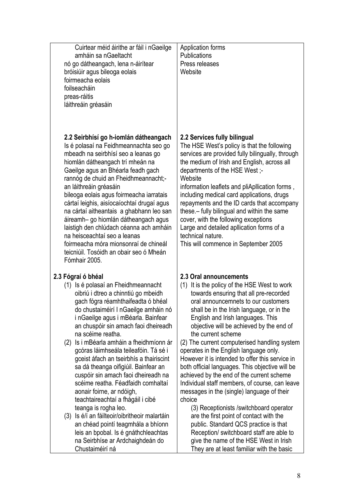| Cuirtear méid áirithe ar fáil i nGaeilge<br>amháin sa nGaeltacht<br>nó go dátheangach, lena n-áirítear<br>bróisiúir agus bileoga eolais<br>foirmeacha eolais<br>foilseacháin<br>preas-ráitis<br>láithreáin gréasáin                                                                                                                                                                                                                                                                                                                                                                                                              | Application forms<br><b>Publications</b><br>Press releases<br>Website                                                                                                                                                                                                                                                                                                                                                                                                                                                                                                       |
|----------------------------------------------------------------------------------------------------------------------------------------------------------------------------------------------------------------------------------------------------------------------------------------------------------------------------------------------------------------------------------------------------------------------------------------------------------------------------------------------------------------------------------------------------------------------------------------------------------------------------------|-----------------------------------------------------------------------------------------------------------------------------------------------------------------------------------------------------------------------------------------------------------------------------------------------------------------------------------------------------------------------------------------------------------------------------------------------------------------------------------------------------------------------------------------------------------------------------|
| 2.2 Seirbhísí go h-iomlán dátheangach<br>Is é polasaí na Feidhmeannachta seo go<br>mbeadh na seirbhísí seo a leanas go<br>hiomlán dátheangach trí mheán na<br>Gaeilge agus an Bhéarla feadh gach<br>rannóg de chuid an Fheidhmeannacht;-<br>an láithreáin gréasáin<br>bileoga eolais agus foirmeacha iarratais<br>cártaí leighis, aisíocaíochtaí drugaí agus<br>na cártaí aitheantais a ghabhann leo san<br>áireamh- go hiomlán dátheangach agus<br>laistigh den chlúdach céanna ach amháin<br>na heisceachtaí seo a leanas<br>foirmeacha móra mionsonraí de chineál<br>teicniúil. Tosóidh an obair seo ó Mheán<br>Fómhair 2005. | 2.2 Services fully bilingual<br>The HSE West's policy is that the following<br>services are provided fully bilingually, through<br>the medium of Irish and English, across all<br>departments of the HSE West ;-<br>Website<br>information leaflets and pliApllication forms,<br>including medical card applications, drugs<br>repayments and the ID cards that accompany<br>these. - fully bilingual and within the same<br>cover, with the following exceptions<br>Large and detailed apllication forms of a<br>technical nature.<br>This will commence in September 2005 |
| 2.3 Fógraí ó bhéal                                                                                                                                                                                                                                                                                                                                                                                                                                                                                                                                                                                                               | 2.3 Oral announcements                                                                                                                                                                                                                                                                                                                                                                                                                                                                                                                                                      |
| (1) Is é polasaí an Fheidhmeannacht                                                                                                                                                                                                                                                                                                                                                                                                                                                                                                                                                                                              | (1) It is the policy of the HSE West to work                                                                                                                                                                                                                                                                                                                                                                                                                                                                                                                                |
| oibriú i dtreo a chinntiú go mbeidh                                                                                                                                                                                                                                                                                                                                                                                                                                                                                                                                                                                              | towards ensuring that all pre-recorded                                                                                                                                                                                                                                                                                                                                                                                                                                                                                                                                      |
| gach fógra réamhthaifeadta ó bhéal                                                                                                                                                                                                                                                                                                                                                                                                                                                                                                                                                                                               | oral announcemnets to our customers                                                                                                                                                                                                                                                                                                                                                                                                                                                                                                                                         |
| do chustaiméirí I nGaeilge amháin nó                                                                                                                                                                                                                                                                                                                                                                                                                                                                                                                                                                                             | shall be in the Irish language, or in the                                                                                                                                                                                                                                                                                                                                                                                                                                                                                                                                   |
| i nGaeilge agus i mBéarla. Bainfear                                                                                                                                                                                                                                                                                                                                                                                                                                                                                                                                                                                              | English and Irish languages. This                                                                                                                                                                                                                                                                                                                                                                                                                                                                                                                                           |
| an chuspóir sin amach faoi dheireadh                                                                                                                                                                                                                                                                                                                                                                                                                                                                                                                                                                                             | objective will be achieved by the end of                                                                                                                                                                                                                                                                                                                                                                                                                                                                                                                                    |
| na scéime reatha.                                                                                                                                                                                                                                                                                                                                                                                                                                                                                                                                                                                                                | the current scheme                                                                                                                                                                                                                                                                                                                                                                                                                                                                                                                                                          |
| (2) Is i mBéarla amháin a fheidhmíonn ár                                                                                                                                                                                                                                                                                                                                                                                                                                                                                                                                                                                         | (2) The current computerised handling system                                                                                                                                                                                                                                                                                                                                                                                                                                                                                                                                |
| gcóras láimhseála teileafóin. Tá sé i                                                                                                                                                                                                                                                                                                                                                                                                                                                                                                                                                                                            | operates in the English language only.                                                                                                                                                                                                                                                                                                                                                                                                                                                                                                                                      |
| gceist áfach an tseirbhís a thairiscint                                                                                                                                                                                                                                                                                                                                                                                                                                                                                                                                                                                          | However it is intended to offer this service in                                                                                                                                                                                                                                                                                                                                                                                                                                                                                                                             |
| sa dá theanga oifigiúil. Bainfear an                                                                                                                                                                                                                                                                                                                                                                                                                                                                                                                                                                                             | both official languages. This objective will be                                                                                                                                                                                                                                                                                                                                                                                                                                                                                                                             |
| cuspóir sin amach faoi dheireadh na                                                                                                                                                                                                                                                                                                                                                                                                                                                                                                                                                                                              | achieved by the end of the current scheme                                                                                                                                                                                                                                                                                                                                                                                                                                                                                                                                   |
| scéime reatha. Féadfaidh comhaltaí                                                                                                                                                                                                                                                                                                                                                                                                                                                                                                                                                                                               | Individual staff members, of course, can leave                                                                                                                                                                                                                                                                                                                                                                                                                                                                                                                              |
| aonair foirne, ar ndóigh,                                                                                                                                                                                                                                                                                                                                                                                                                                                                                                                                                                                                        | messages in the (single) language of their                                                                                                                                                                                                                                                                                                                                                                                                                                                                                                                                  |
| teachtaireachtaí a fhágáil i cibé                                                                                                                                                                                                                                                                                                                                                                                                                                                                                                                                                                                                | choice                                                                                                                                                                                                                                                                                                                                                                                                                                                                                                                                                                      |
| teanga is rogha leo.                                                                                                                                                                                                                                                                                                                                                                                                                                                                                                                                                                                                             | (3) Receptionists / switchboard operator                                                                                                                                                                                                                                                                                                                                                                                                                                                                                                                                    |
| (3) Is é/í an fáilteoir/oibritheoir malartáin                                                                                                                                                                                                                                                                                                                                                                                                                                                                                                                                                                                    | are the first point of contact with the                                                                                                                                                                                                                                                                                                                                                                                                                                                                                                                                     |
| an chéad pointí teagmhála a bhíonn                                                                                                                                                                                                                                                                                                                                                                                                                                                                                                                                                                                               | public. Standard QCS practice is that                                                                                                                                                                                                                                                                                                                                                                                                                                                                                                                                       |
| leis an bpobal. Is é gnáthchleachtas                                                                                                                                                                                                                                                                                                                                                                                                                                                                                                                                                                                             | Reception/ switchboard staff are able to                                                                                                                                                                                                                                                                                                                                                                                                                                                                                                                                    |
| na Seirbhíse ar Ardchaighdeán do                                                                                                                                                                                                                                                                                                                                                                                                                                                                                                                                                                                                 | give the name of the HSE West in Irish                                                                                                                                                                                                                                                                                                                                                                                                                                                                                                                                      |

Chustaiméirí ná

They are at least familiar with the basic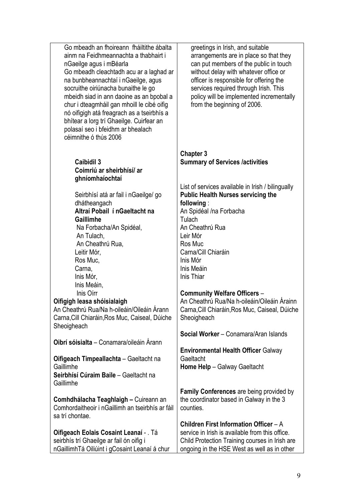| Go mbeadh an fhoireann fháiltithe ábalta<br>ainm na Feidhmeannachta a thabhairt i<br>nGaeilge agus i mBéarla<br>Go mbeadh cleachtadh acu ar a laghad ar<br>na bunbheannachtaí i nGaeilge, agus<br>socruithe oiriúnacha bunaithe le go<br>mbeidh siad in ann daoine as an bpobal a<br>chur i dteagmháil gan mhoill le cibé oifig<br>nó oifigigh atá freagrach as a tseirbhís a<br>bhítear a lorg trí Ghaeilge. Cuirfear an<br>polasaí seo i bfeidhm ar bhealach<br>céimnithe ó thús 2006 | greetings in Irish, and suitable<br>arrangements are in place so that they<br>can put members of the public in touch<br>without delay with whatever office or<br>officer is responsible for offering the<br>services required through Irish. This<br>policy will be implemented incrementally<br>from the beginning of 2006.                                                                                      |
|-----------------------------------------------------------------------------------------------------------------------------------------------------------------------------------------------------------------------------------------------------------------------------------------------------------------------------------------------------------------------------------------------------------------------------------------------------------------------------------------|-------------------------------------------------------------------------------------------------------------------------------------------------------------------------------------------------------------------------------------------------------------------------------------------------------------------------------------------------------------------------------------------------------------------|
| <b>Caibidil 3</b><br>Coimriú ar sheirbhísí/ ar<br>ghníomhaíochtaí                                                                                                                                                                                                                                                                                                                                                                                                                       | <b>Chapter 3</b><br><b>Summary of Services /activities</b>                                                                                                                                                                                                                                                                                                                                                        |
| Seirbhísí atá ar fail i nGaeilge/ go<br>dhátheangach<br>Altraí Pobail í nGaeltacht na<br>Gaillimhe<br>Na Forbacha/An Spidéal,<br>An Tulach,<br>An Cheathrú Rua,<br>Leitir Mór,<br>Ros Muc,<br>Carna,<br>Inis Mór,<br>Inis Meáin,<br>Inis Oirr<br>Oifigigh leasa shóisialaigh<br>An Cheathrú Rua/Na h-oileáin/Oileáin Árann<br>Carna, Cill Chiaráin, Ros Muc, Caiseal, Dúiche<br>Sheoigheach                                                                                             | List of services available in Irish / bilingually<br><b>Public Health Nurses servicing the</b><br>following:<br>An Spidéal /na Forbacha<br>Tulach<br>An Cheathrú Rua<br>Leir Mór<br>Ros Muc<br>Carna/Cill Chiaráin<br>Inis Mór<br>Inis Meáin<br>Inis Thiar<br><b>Community Welfare Officers -</b><br>An Cheathrú Rua/Na h-oileáin/Oileáin Árainn<br>Carna, Cill Chiaráin, Ros Muc, Caiseal, Dúiche<br>Sheoigheach |
| Oibrí sóisialta - Conamara/oileáin Árann                                                                                                                                                                                                                                                                                                                                                                                                                                                | Social Worker - Conamara/Aran Islands<br><b>Environmental Health Officer Galway</b>                                                                                                                                                                                                                                                                                                                               |
| Oifigeach Timpeallachta - Gaeltacht na<br>Gaillimhe<br>Seirbhísí Cúraim Baile - Gaeltacht na<br>Gaillimhe                                                                                                                                                                                                                                                                                                                                                                               | Gaeltacht<br>Home Help - Galway Gaeltacht                                                                                                                                                                                                                                                                                                                                                                         |
| Comhdhálacha Teaghlaigh - Cuireann an<br>Comhordaitheoir i nGaillimh an tseirbhís ar fáil<br>sa trí chontae.                                                                                                                                                                                                                                                                                                                                                                            | <b>Family Conferences</b> are being provided by<br>the coordinator based in Galway in the 3<br>counties.                                                                                                                                                                                                                                                                                                          |
| Oifigeach Eolais Cosaint Leanaí - . Tá<br>seirbhís trí Ghaeilge ar fail ón oifig i<br>nGaillimhTá Oiliúint i gCosaint Leanaí á chur                                                                                                                                                                                                                                                                                                                                                     | Children First Information Officer - A<br>service in Irish is available from this office.<br>Child Protection Training courses in Irish are<br>ongoing in the HSE West as well as in other                                                                                                                                                                                                                        |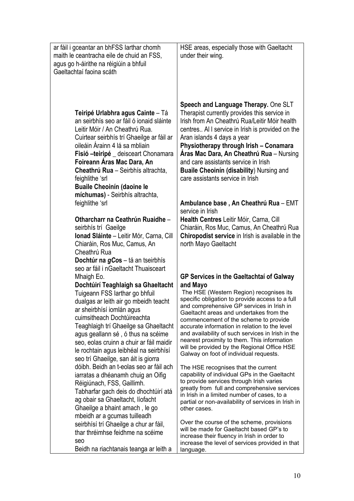| ar fáil i gceantar an bhFSS larthar chomh<br>maith le ceantracha eile de chuid an FSS,<br>agus go h-áirithe na réigiúin a bhfuil<br>Gaeltachtaí faoina scáth                                                                                                                                                                                                                                                                                                                     | HSE areas, especially those with Gaeltacht<br>under their wing.                                                                                                                                                                                                                                                                                                                                                                                                                                                                   |
|----------------------------------------------------------------------------------------------------------------------------------------------------------------------------------------------------------------------------------------------------------------------------------------------------------------------------------------------------------------------------------------------------------------------------------------------------------------------------------|-----------------------------------------------------------------------------------------------------------------------------------------------------------------------------------------------------------------------------------------------------------------------------------------------------------------------------------------------------------------------------------------------------------------------------------------------------------------------------------------------------------------------------------|
| Teiripé Urlabhra agus Cainte - Tá<br>an seirbhís seo ar fáil ó ionaid sláinte<br>Leitir Móir / An Cheathrú Rua.<br>Cuirtear seirbhís trí Ghaeilge ar fáil ar<br>oileáin Árainn 4 lá sa mbliain<br>Fisió -teiripé _ deisceart Chonamara<br>Foireann Aras Mac Dara, An<br>Cheathrú Rua - Seirbhís altrachta,<br>feighlithe 'srl<br><b>Buaile Cheoinín (daoine le</b><br>míchumas) - Seirbhís altrachta,                                                                            | Speech and Language Therapy. One SLT<br>Therapist currently provides this service in<br>Irish from An Cheathrú Rua/Leitir Móir health<br>centres All service in Irish is provided on the<br>Aran islands 4 days a year<br>Physiotherapy through Irish - Conamara<br>Áras Mac Dara, An Cheathrú Rua - Nursing<br>and care assistants service in Irish<br><b>Buaile Cheoinín (disability) Nursing and</b><br>care assistants service in Irish                                                                                       |
| feighlithe 'srl                                                                                                                                                                                                                                                                                                                                                                                                                                                                  | Ambulance base, An Cheathrú Rua - EMT<br>service in Irish                                                                                                                                                                                                                                                                                                                                                                                                                                                                         |
| Otharcharr na Ceathrún Ruaidhe -<br>seirbhís trí Gaeilge<br>Ionad Sláinte - Leitir Mór, Carna, Cill<br>Chiaráin, Ros Muc, Camus, An<br>Cheathrú Rua                                                                                                                                                                                                                                                                                                                              | Health Centres Leitir Móir, Carna, Cill<br>Chiaráin, Ros Muc, Camus, An Cheathrú Rua<br>Chiropodist service in Irish is available in the<br>north Mayo Gaeltacht                                                                                                                                                                                                                                                                                                                                                                  |
| Dochtúr na gCos - tá an tseirbhís<br>seo ar fáil i nGaeltacht Thuaisceart<br>Mhaigh Eo.<br>Dochtúirí Teaghlaigh sa Ghaeltacht<br>Tuigeann FSS larthar go bhfuil<br>dualgas ar leith air go mbeidh teacht<br>ar sheirbhísí iomlán agus<br>cuimsitheach Dochtúireachta<br>Teaghlaigh trí Ghaeilge sa Ghaeltacht<br>agus geallann sé, ó thus na scéime<br>seo, eolas cruinn a chuir ar fáil maidir<br>le rochtain agus leibhéal na seirbhísí<br>seo trí Ghaeilge, san áit is giorra | GP Services in the Gaeltachtaí of Galway<br>and Mayo<br>The HSE (Western Region) recognises its<br>specific obligation to provide access to a full<br>and comprehensive GP services in Irish in<br>Gaeltacht areas and undertakes from the<br>commencement of the scheme to provide<br>accurate information in relation to the level<br>and availability of such services in Irish in the<br>nearest proximity to them. This information<br>will be provided by the Regional Office HSE<br>Galway on foot of individual requests. |
| dóibh. Beidh an t-eolas seo ar fáil ach<br>jarratas a dhéanamh chuig an Oifig<br>Réigiúnach, FSS, Gaillimh.<br>Tabharfar gach deis do dhochtúirí atá<br>ag obair sa Ghaeltacht, líofacht<br>Ghaeilge a bhaint amach, le go<br>mbeidh ar a gcumas tuilleadh                                                                                                                                                                                                                       | The HSE recognises that the current<br>capability of individual GPs in the Gaeltacht<br>to provide services through Irish varies<br>greatly from full and comprehensive services<br>in Irish in a limited number of cases, to a<br>partial or non-availability of services in Irish in<br>other cases.                                                                                                                                                                                                                            |
| seirbhísí trí Ghaeilge a chur ar fáil,<br>thar thréimhse feidhme na scéime<br>seo<br>Beidh na riachtanais teanga ar leith a                                                                                                                                                                                                                                                                                                                                                      | Over the course of the scheme, provisions<br>will be made for Gaeltacht based GP's to<br>increase their fluency in Irish in order to<br>increase the level of services provided in that<br>language.                                                                                                                                                                                                                                                                                                                              |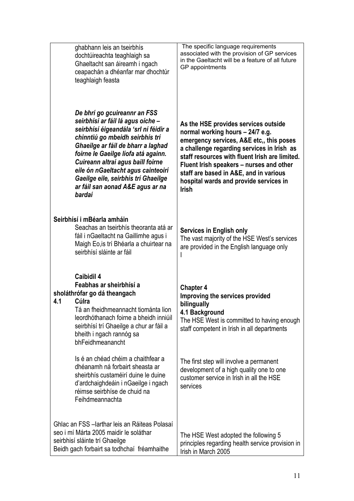| ghabhann leis an tseirbhís<br>dochtúireachta teaghlaigh sa<br>Ghaeltacht san áireamh i ngach<br>ceapachán a dhéanfar mar dhochtúr<br>teaghlaigh feasta                                                                                                                                                                                                                                     | The specific language requirements<br>associated with the provision of GP services<br>in the Gaeltacht will be a feature of all future<br>GP appointments                                                                                                                                                                                                            |
|--------------------------------------------------------------------------------------------------------------------------------------------------------------------------------------------------------------------------------------------------------------------------------------------------------------------------------------------------------------------------------------------|----------------------------------------------------------------------------------------------------------------------------------------------------------------------------------------------------------------------------------------------------------------------------------------------------------------------------------------------------------------------|
| De bhrí go gcuireannr an FSS<br>seirbhísí ar fáil lá agus oíche -<br>seirbhísí éigeandála 'srl ní féidir a<br>chinntiú go mbeidh seirbhís trí<br>Ghaeilge ar fáil de bharr a laghad<br>foirne le Gaeilge líofa atá againn.<br>Cuireann altraí agus baill foirne<br>eile ón nGaeltacht agus cainteoirí<br>Gaeilge eile, seirbhís trí Ghaeilge<br>ar fáil san aonad A&E agus ar na<br>bardaí | As the HSE provides services outside<br>normal working hours - 24/7 e.g.<br>emergency services, A&E etc., this poses<br>a challenge regarding services in Irish as<br>staff resources with fluent Irish are limited.<br>Fluent Irish speakers - nurses and other<br>staff are based in A&E, and in various<br>hospital wards and provide services in<br><b>Irish</b> |
| Seirbhísí i mBéarla amháin<br>Seachas an tseirbhís theoranta atá ar<br>fáil i nGaeltacht na Gaillimhe agus i<br>Maigh Eo, is trí Bhéarla a chuirtear na<br>seirbhísí sláinte ar fáil                                                                                                                                                                                                       | <b>Services in English only</b><br>The vast majority of the HSE West's services<br>are provided in the English language only                                                                                                                                                                                                                                         |
| <b>Caibidil 4</b><br>Feabhas ar sheirbhísí a<br>sholáthrófar go dá theangach<br>4.1<br>Cúlra<br>Tá an fheidhmeannacht tiománta lion<br>leordhóthanach foirne a bheidh inniúil<br>seirbhísí trí Ghaeilge a chur ar fáil a<br>bheith i ngach rannóg sa<br>bhFeidhmeanancht                                                                                                                   | <b>Chapter 4</b><br>Improving the services provided<br>bilingually<br>4.1 Background<br>The HSE West is committed to having enough<br>staff competent in Irish in all departments                                                                                                                                                                                    |
| Is é an chéad chéim a chaithfear a<br>dhéanamh ná forbairt sheasta ar<br>sheirbhís custaméirí duine le duine<br>d'ardchaighdeáin i nGaeilge i ngach<br>réimse seirbhíse de chuid na<br>Feihdmeannachta                                                                                                                                                                                     | The first step will involve a permanent<br>development of a high quality one to one<br>customer service in Irish in all the HSE<br>services                                                                                                                                                                                                                          |
| Ghlac an FSS - larthar leis an Ráiteas Polasaí<br>seo i mí Márta 2005 maidir le soláthar<br>seirbhisí sláinte trí Ghaeilge<br>Beidh gach forbairt sa todhchaí fréamhaithe                                                                                                                                                                                                                  | The HSE West adopted the following 5<br>principles regarding health service provision in<br>Irish in March 2005                                                                                                                                                                                                                                                      |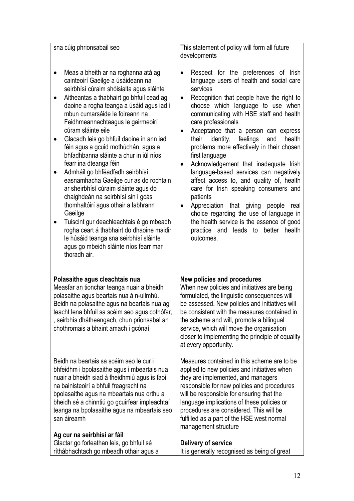| sna cúig phrionsabail seo                                                                                                                                                                                                                                                                                                                                                                                                                                                                                                                                                                                                                                                                                                                                                                                                                                                | This statement of policy will form all future<br>developments                                                                                                                                                                                                                                                                                                                                                                                                                                                                                                                                                                                                                                                                                                                                                                            |
|--------------------------------------------------------------------------------------------------------------------------------------------------------------------------------------------------------------------------------------------------------------------------------------------------------------------------------------------------------------------------------------------------------------------------------------------------------------------------------------------------------------------------------------------------------------------------------------------------------------------------------------------------------------------------------------------------------------------------------------------------------------------------------------------------------------------------------------------------------------------------|------------------------------------------------------------------------------------------------------------------------------------------------------------------------------------------------------------------------------------------------------------------------------------------------------------------------------------------------------------------------------------------------------------------------------------------------------------------------------------------------------------------------------------------------------------------------------------------------------------------------------------------------------------------------------------------------------------------------------------------------------------------------------------------------------------------------------------------|
| Meas a bheith ar na roghanna atá ag<br>cainteoirí Gaeilge a úsáideann na<br>seirbhísí cúraim shóisialta agus sláinte<br>Aitheantas a thabhairt go bhfuil cead ag<br>daoine a rogha teanga a úsáid agus iad i<br>mbun cumarsáide le foireann na<br>Feidhmeannachtaagus le gairmeoirí<br>cúram sláinte eile<br>Glacadh leis go bhfuil daoine in ann iad<br>féin agus a gcuid mothúchán, agus a<br>bhfadhbanna sláinte a chur in iúl níos<br>fearr ina dteanga féin<br>Admháil go bhféadfadh seirbhísí<br>easnamhacha Gaeilge cur as do rochtain<br>ar sheirbhísí cúraim sláinte agus do<br>chaighdeán na seirbhísí sin i gcás<br>thomhaltóirí agus othair a labhrann<br>Gaeilge<br>Tuiscint gur deachleachtais é go mbeadh<br>rogha ceart á thabhairt do dhaoine maidir<br>le húsáid teanga sna seirbhísí sláinte<br>agus go mbeidh sláinte níos fearr mar<br>thoradh air. | Respect for the preferences of Irish<br>$\bullet$<br>language users of health and social care<br>services<br>Recognition that people have the right to<br>$\bullet$<br>choose which language to use when<br>communicating with HSE staff and health<br>care professionals<br>Acceptance that a person can express<br>identity,<br>feelings<br>their<br>and<br>health<br>problems more effectively in their chosen<br>first language<br>Acknowledgement that inadequate Irish<br>$\bullet$<br>language-based services can negatively<br>affect access to, and quality of, health<br>care for Irish speaking consumers and<br>patients<br>Appreciation that giving people real<br>$\bullet$<br>choice regarding the use of language in<br>the health service is the essence of good<br>practice and leads to<br>better health<br>outcomes. |
| Polasaithe agus cleachtais nua<br>Measfar an tionchar teanga nuair a bheidh<br>polasaithe agus beartais nua á n-ullmhú.<br>Beidh na polasaithe agus na beartais nua ag<br>teacht lena bhfuil sa scéim seo agus cothófar,<br>, seirbhís dhátheangach, chun prionsabal an<br>chothromais a bhaint amach i gcónaí                                                                                                                                                                                                                                                                                                                                                                                                                                                                                                                                                           | New policies and procedures<br>When new policies and initiatives are being<br>formulated, the linguistic consequences will<br>be assessed. New policies and initiatives will<br>be consistent with the measures contained in<br>the scheme and will, promote a bilingual<br>service, which will move the organisation<br>closer to implementing the principle of equality<br>at every opportunity.                                                                                                                                                                                                                                                                                                                                                                                                                                       |
| Beidh na beartais sa scéim seo le cur i<br>bhfeidhm i bpolasaithe agus i mbeartais nua<br>nuair a bheidh siad á fheidhmiú agus is faoi<br>na bainisteoirí a bhfuil freagracht na<br>bpolasaithe agus na mbeartais nua orthu a<br>bheidh sé a chinntiú go gcuirfear impleachtaí<br>teanga na bpolasaithe agus na mbeartais seo<br>san áireamh                                                                                                                                                                                                                                                                                                                                                                                                                                                                                                                             | Measures contained in this scheme are to be<br>applied to new policies and initiatives when<br>they are implemented, and managers<br>responsible for new policies and procedures<br>will be responsible for ensuring that the<br>language implications of these policies or<br>procedures are considered. This will be<br>fulfilled as a part of the HSE west normal<br>management structure                                                                                                                                                                                                                                                                                                                                                                                                                                             |
| Ag cur na seirbhísí ar fáil<br>Glactar go forleathan leis, go bhfuil sé<br>ríthábhachtach go mbeadh othair agus a                                                                                                                                                                                                                                                                                                                                                                                                                                                                                                                                                                                                                                                                                                                                                        | Delivery of service<br>It is generally recognised as being of great                                                                                                                                                                                                                                                                                                                                                                                                                                                                                                                                                                                                                                                                                                                                                                      |

т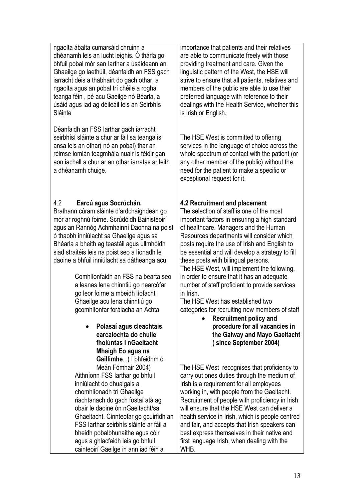ngaolta ábalta cumarsáid chruinn a dhéanamh leis an lucht leighis. Ó thárla go bhfuil pobal mór san Iarthar a úsáideann an Ghaeilge go laethúil, déanfaidh an FSS gach iarracht deis a thabhairt do gach othar, a ngaolta agus an pobal trí chéile a rogha teanga féin , pé acu Gaeilge nó Béarla, a úsáid agus iad ag déileáil leis an Seirbhís Sláinte

Déanfaidh an FSS Iarthar gach iarracht seirbhísí sláinte a chur ar fáil sa teanga is ansa leis an othar( nó an pobal) thar an réimse iomlán teagmhála nuair is féidir gan aon iachall a chur ar an othar iarratas ar leith a dhéanamh chuige.

#### 4.2 **Earcú agus Socrúchán.**

Brathann cúram sláinte d'ardchaighdeán go mór ar roghnú foirne. Scrúdóidh Bainisteoirí agus an Rannóg Achmhainní Daonna na poist ó thaobh inniúlacht sa Ghaeilge agus sa Bhéarla a bheith ag teastáil agus ullmhóidh siad straitéis leis na poist seo a líonadh le daoine a bhfuil inniúlacht sa dátheanga acu.

> Comhlíonfaidh an FSS na bearta seo a leanas lena chinntiú go nearcófar go leor foirne a mbeidh líofacht Ghaeilge acu lena chinntiú go gcomhlíonfar forálacha an Achta

> > • **Polasaí agus cleachtais earcaíochta do chuile fholúntas i nGaeltacht Mhaigh Eo agus na Gaillimhe**...( I bhfeidhm ó Meán Fómhair 2004)

Aithníonn FSS Iarthar go bhfuil inniúlacht do dhualgais a chomhlíonadh trí Ghaeilge riachtanach do gach fostaí atá ag obair le daoine ón nGaeltacht/sa Ghaeltacht. Cinnteofar go gcuirfidh an FSS Iarthar seirbhís sláinte ar fáil a bheidh pobalbhunaithe agus cóir agus a ghlacfaidh leis go bhfuil cainteoirí Gaeilge in ann iad féin a

importance that patients and their relatives are able to communicate freely with those providing treatment and care. Given the linguistic pattern of the West, the HSE will strive to ensure that all patients, relatives and members of the public are able to use their preferred language with reference to their dealings with the Health Service, whether this is Irish or English.

The HSE West is committed to offering services in the language of choice across the whole spectrum of contact with the patient (or any other member of the public) without the need for the patient to make a specific or exceptional request for it.

# **4.2 Recruitment and placement**

The selection of staff is one of the most important factors in ensuring a high standard of healthcare. Managers and the Human Resources departments will consider which posts require the use of Irish and English to be essential and will develop a strategy to fill these posts with bilingual persons. The HSE West, will implement the following,

in order to ensure that it has an adequate number of staff proficient to provide services in Irish.

The HSE West has established two categories for recruiting new members of staff

• **Recruitment policy and procedure for all vacancies in the Galway and Mayo Gaeltacht ( since September 2004)** 

The HSE West recognises that proficiency to carry out ones duties through the medium of Irish is a requirement for all employees working in, with people from the Gaeltacht. Recruitment of people with proficiency in Irish will ensure that the HSE West can deliver a health service in Irish, which is people centred and fair, and accepts that Irish speakers can best express themselves in their native and first language Irish, when dealing with the WHB.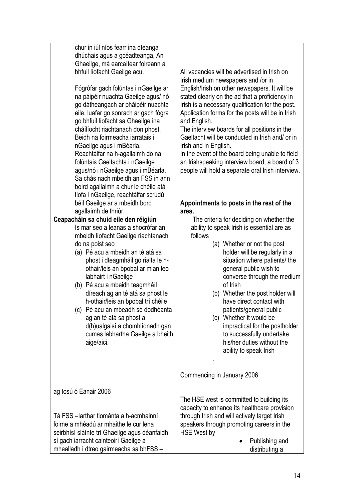| go bhfuil líofacht sa Ghaeilge ina<br>cháílíocht riachtanach don phost.<br>Beidh na foirmeacha iarratais i<br>nGaeilge agus i mBéarla.<br>Reachtálfar na h-agallaimh do na<br>folúntais Gaeltachta i nGaeilge<br>agus/nó i nGaeilge agus i mBéarla.<br>Sa chás nach mbeidh an FSS in ann<br>boird agallaimh a chur le chéile atá<br>líofa i nGaeilge, reachtálfar scrúdú<br>béil Gaeilge ar a mbeidh bord<br>agallaimh de thriúr.<br>Ceapacháin sa chuid eile den réigiún<br>Is mar seo a leanas a shocrófar an<br>mbeidh líofacht Gaeilge riachtanach<br>do na poist seo<br>(a) Pé acu a mbeidh an té atá sa<br>phost i dteagmháil go rialta le h-<br>othair/leis an bpobal ar mian leo<br>labhairt i nGaeilge<br>(b) Pé acu a mbeidh teagmháil<br>díreach ag an té atá sa phost le<br>h-othair/leis an bpobal trí chéile<br>(c) Pé acu an mbeadh sé dodhéanta<br>ag an té atá sa phost a<br>d(h)ualgaisí a chomhlíonadh gan<br>cumas labhartha Gaeilge a bheith<br>aige/aici.<br>ag tosú ó Eanair 2006<br>Tá FSS - larthar tiománta a h-acmhainní<br>foirne a mhéadú ar mhaithe le cur lena | and English.<br>The interview boards for all positions in the<br>Gaeltacht will be conducted in Irish and/ or in<br>Irish and in English.<br>In the event of the board being unable to field<br>an Irishspeaking interview board, a board of 3<br>people will hold a separate oral Irish interview.<br>Appointments to posts in the rest of the<br>area,<br>The criteria for deciding on whether the<br>ability to speak Irish is essential are as<br>follows<br>(a) Whether or not the post<br>holder will be regularly in a<br>situation where patients/ the<br>general public wish to<br>converse through the medium<br>of Irish<br>(b) Whether the post holder will<br>have direct contact with<br>patients/general public<br>(c) Whether it would be<br>impractical for the postholder<br>to successfully undertake<br>his/her duties without the<br>ability to speak Irish<br>Commencing in January 2006<br>The HSE west is committed to building its<br>capacity to enhance its healthcare provision<br>through Irish and will actively target Irish<br>speakers through promoting careers in the |
|-----------------------------------------------------------------------------------------------------------------------------------------------------------------------------------------------------------------------------------------------------------------------------------------------------------------------------------------------------------------------------------------------------------------------------------------------------------------------------------------------------------------------------------------------------------------------------------------------------------------------------------------------------------------------------------------------------------------------------------------------------------------------------------------------------------------------------------------------------------------------------------------------------------------------------------------------------------------------------------------------------------------------------------------------------------------------------------------------|----------------------------------------------------------------------------------------------------------------------------------------------------------------------------------------------------------------------------------------------------------------------------------------------------------------------------------------------------------------------------------------------------------------------------------------------------------------------------------------------------------------------------------------------------------------------------------------------------------------------------------------------------------------------------------------------------------------------------------------------------------------------------------------------------------------------------------------------------------------------------------------------------------------------------------------------------------------------------------------------------------------------------------------------------------------------------------------------------------|
|                                                                                                                                                                                                                                                                                                                                                                                                                                                                                                                                                                                                                                                                                                                                                                                                                                                                                                                                                                                                                                                                                               |                                                                                                                                                                                                                                                                                                                                                                                                                                                                                                                                                                                                                                                                                                                                                                                                                                                                                                                                                                                                                                                                                                          |
|                                                                                                                                                                                                                                                                                                                                                                                                                                                                                                                                                                                                                                                                                                                                                                                                                                                                                                                                                                                                                                                                                               |                                                                                                                                                                                                                                                                                                                                                                                                                                                                                                                                                                                                                                                                                                                                                                                                                                                                                                                                                                                                                                                                                                          |
|                                                                                                                                                                                                                                                                                                                                                                                                                                                                                                                                                                                                                                                                                                                                                                                                                                                                                                                                                                                                                                                                                               |                                                                                                                                                                                                                                                                                                                                                                                                                                                                                                                                                                                                                                                                                                                                                                                                                                                                                                                                                                                                                                                                                                          |
|                                                                                                                                                                                                                                                                                                                                                                                                                                                                                                                                                                                                                                                                                                                                                                                                                                                                                                                                                                                                                                                                                               |                                                                                                                                                                                                                                                                                                                                                                                                                                                                                                                                                                                                                                                                                                                                                                                                                                                                                                                                                                                                                                                                                                          |
|                                                                                                                                                                                                                                                                                                                                                                                                                                                                                                                                                                                                                                                                                                                                                                                                                                                                                                                                                                                                                                                                                               |                                                                                                                                                                                                                                                                                                                                                                                                                                                                                                                                                                                                                                                                                                                                                                                                                                                                                                                                                                                                                                                                                                          |
|                                                                                                                                                                                                                                                                                                                                                                                                                                                                                                                                                                                                                                                                                                                                                                                                                                                                                                                                                                                                                                                                                               |                                                                                                                                                                                                                                                                                                                                                                                                                                                                                                                                                                                                                                                                                                                                                                                                                                                                                                                                                                                                                                                                                                          |
|                                                                                                                                                                                                                                                                                                                                                                                                                                                                                                                                                                                                                                                                                                                                                                                                                                                                                                                                                                                                                                                                                               |                                                                                                                                                                                                                                                                                                                                                                                                                                                                                                                                                                                                                                                                                                                                                                                                                                                                                                                                                                                                                                                                                                          |
|                                                                                                                                                                                                                                                                                                                                                                                                                                                                                                                                                                                                                                                                                                                                                                                                                                                                                                                                                                                                                                                                                               |                                                                                                                                                                                                                                                                                                                                                                                                                                                                                                                                                                                                                                                                                                                                                                                                                                                                                                                                                                                                                                                                                                          |
|                                                                                                                                                                                                                                                                                                                                                                                                                                                                                                                                                                                                                                                                                                                                                                                                                                                                                                                                                                                                                                                                                               |                                                                                                                                                                                                                                                                                                                                                                                                                                                                                                                                                                                                                                                                                                                                                                                                                                                                                                                                                                                                                                                                                                          |
|                                                                                                                                                                                                                                                                                                                                                                                                                                                                                                                                                                                                                                                                                                                                                                                                                                                                                                                                                                                                                                                                                               |                                                                                                                                                                                                                                                                                                                                                                                                                                                                                                                                                                                                                                                                                                                                                                                                                                                                                                                                                                                                                                                                                                          |
|                                                                                                                                                                                                                                                                                                                                                                                                                                                                                                                                                                                                                                                                                                                                                                                                                                                                                                                                                                                                                                                                                               |                                                                                                                                                                                                                                                                                                                                                                                                                                                                                                                                                                                                                                                                                                                                                                                                                                                                                                                                                                                                                                                                                                          |
|                                                                                                                                                                                                                                                                                                                                                                                                                                                                                                                                                                                                                                                                                                                                                                                                                                                                                                                                                                                                                                                                                               |                                                                                                                                                                                                                                                                                                                                                                                                                                                                                                                                                                                                                                                                                                                                                                                                                                                                                                                                                                                                                                                                                                          |
|                                                                                                                                                                                                                                                                                                                                                                                                                                                                                                                                                                                                                                                                                                                                                                                                                                                                                                                                                                                                                                                                                               |                                                                                                                                                                                                                                                                                                                                                                                                                                                                                                                                                                                                                                                                                                                                                                                                                                                                                                                                                                                                                                                                                                          |
|                                                                                                                                                                                                                                                                                                                                                                                                                                                                                                                                                                                                                                                                                                                                                                                                                                                                                                                                                                                                                                                                                               |                                                                                                                                                                                                                                                                                                                                                                                                                                                                                                                                                                                                                                                                                                                                                                                                                                                                                                                                                                                                                                                                                                          |
|                                                                                                                                                                                                                                                                                                                                                                                                                                                                                                                                                                                                                                                                                                                                                                                                                                                                                                                                                                                                                                                                                               |                                                                                                                                                                                                                                                                                                                                                                                                                                                                                                                                                                                                                                                                                                                                                                                                                                                                                                                                                                                                                                                                                                          |
|                                                                                                                                                                                                                                                                                                                                                                                                                                                                                                                                                                                                                                                                                                                                                                                                                                                                                                                                                                                                                                                                                               |                                                                                                                                                                                                                                                                                                                                                                                                                                                                                                                                                                                                                                                                                                                                                                                                                                                                                                                                                                                                                                                                                                          |
|                                                                                                                                                                                                                                                                                                                                                                                                                                                                                                                                                                                                                                                                                                                                                                                                                                                                                                                                                                                                                                                                                               |                                                                                                                                                                                                                                                                                                                                                                                                                                                                                                                                                                                                                                                                                                                                                                                                                                                                                                                                                                                                                                                                                                          |
|                                                                                                                                                                                                                                                                                                                                                                                                                                                                                                                                                                                                                                                                                                                                                                                                                                                                                                                                                                                                                                                                                               |                                                                                                                                                                                                                                                                                                                                                                                                                                                                                                                                                                                                                                                                                                                                                                                                                                                                                                                                                                                                                                                                                                          |
| eile. luafar go sonrach ar gach fógra                                                                                                                                                                                                                                                                                                                                                                                                                                                                                                                                                                                                                                                                                                                                                                                                                                                                                                                                                                                                                                                         | Application forms for the posts will be in Irish                                                                                                                                                                                                                                                                                                                                                                                                                                                                                                                                                                                                                                                                                                                                                                                                                                                                                                                                                                                                                                                         |
| go dátheangach ar pháipéir nuachta                                                                                                                                                                                                                                                                                                                                                                                                                                                                                                                                                                                                                                                                                                                                                                                                                                                                                                                                                                                                                                                            | Irish is a necessary qualification for the post.                                                                                                                                                                                                                                                                                                                                                                                                                                                                                                                                                                                                                                                                                                                                                                                                                                                                                                                                                                                                                                                         |
| na páipéir nuachta Gaeilge agus/ nó                                                                                                                                                                                                                                                                                                                                                                                                                                                                                                                                                                                                                                                                                                                                                                                                                                                                                                                                                                                                                                                           | stated clearly on the ad that a proficiency in                                                                                                                                                                                                                                                                                                                                                                                                                                                                                                                                                                                                                                                                                                                                                                                                                                                                                                                                                                                                                                                           |
| Fógrófar gach folúntas i nGaeilge ar                                                                                                                                                                                                                                                                                                                                                                                                                                                                                                                                                                                                                                                                                                                                                                                                                                                                                                                                                                                                                                                          | English/Irish on other newspapers. It will be                                                                                                                                                                                                                                                                                                                                                                                                                                                                                                                                                                                                                                                                                                                                                                                                                                                                                                                                                                                                                                                            |
|                                                                                                                                                                                                                                                                                                                                                                                                                                                                                                                                                                                                                                                                                                                                                                                                                                                                                                                                                                                                                                                                                               | Irish medium newspapers and /or in                                                                                                                                                                                                                                                                                                                                                                                                                                                                                                                                                                                                                                                                                                                                                                                                                                                                                                                                                                                                                                                                       |
|                                                                                                                                                                                                                                                                                                                                                                                                                                                                                                                                                                                                                                                                                                                                                                                                                                                                                                                                                                                                                                                                                               |                                                                                                                                                                                                                                                                                                                                                                                                                                                                                                                                                                                                                                                                                                                                                                                                                                                                                                                                                                                                                                                                                                          |
| Ghaeilge, má earcaítear foireann a<br>bhfuil líofacht Gaeilge acu.                                                                                                                                                                                                                                                                                                                                                                                                                                                                                                                                                                                                                                                                                                                                                                                                                                                                                                                                                                                                                            | All vacancies will be advertised in Irish on                                                                                                                                                                                                                                                                                                                                                                                                                                                                                                                                                                                                                                                                                                                                                                                                                                                                                                                                                                                                                                                             |
| dhúchais agus a gcéadteanga, An                                                                                                                                                                                                                                                                                                                                                                                                                                                                                                                                                                                                                                                                                                                                                                                                                                                                                                                                                                                                                                                               |                                                                                                                                                                                                                                                                                                                                                                                                                                                                                                                                                                                                                                                                                                                                                                                                                                                                                                                                                                                                                                                                                                          |
| chur in iúl níos fearr ina dteanga                                                                                                                                                                                                                                                                                                                                                                                                                                                                                                                                                                                                                                                                                                                                                                                                                                                                                                                                                                                                                                                            |                                                                                                                                                                                                                                                                                                                                                                                                                                                                                                                                                                                                                                                                                                                                                                                                                                                                                                                                                                                                                                                                                                          |
|                                                                                                                                                                                                                                                                                                                                                                                                                                                                                                                                                                                                                                                                                                                                                                                                                                                                                                                                                                                                                                                                                               |                                                                                                                                                                                                                                                                                                                                                                                                                                                                                                                                                                                                                                                                                                                                                                                                                                                                                                                                                                                                                                                                                                          |

 $\overline{\phantom{a}}$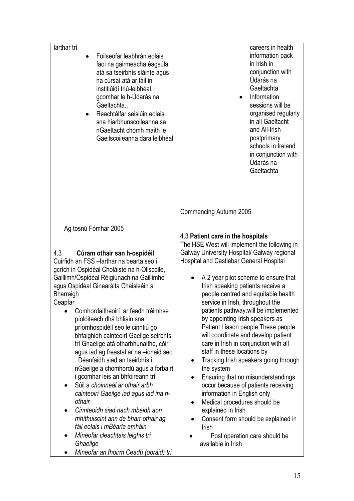| larthar trí                                                                                                                                                                                                                                                                                                                                                                                                                                                                                                                                                                                                                                                                                                                                                                                                                                                                                                                                                | careers in health                                                                                                                                                                                                                                                                                                                                                                                                                                                                                                                                                                                                                                                                                                                                                                                                                                                                                        |
|------------------------------------------------------------------------------------------------------------------------------------------------------------------------------------------------------------------------------------------------------------------------------------------------------------------------------------------------------------------------------------------------------------------------------------------------------------------------------------------------------------------------------------------------------------------------------------------------------------------------------------------------------------------------------------------------------------------------------------------------------------------------------------------------------------------------------------------------------------------------------------------------------------------------------------------------------------|----------------------------------------------------------------------------------------------------------------------------------------------------------------------------------------------------------------------------------------------------------------------------------------------------------------------------------------------------------------------------------------------------------------------------------------------------------------------------------------------------------------------------------------------------------------------------------------------------------------------------------------------------------------------------------------------------------------------------------------------------------------------------------------------------------------------------------------------------------------------------------------------------------|
| Foilseofar leabhrán eolais<br>faoi na gairmeacha éagsúla<br>atá sa tseirbhís sláinte agus<br>na cúrsaí atá ar fáil in<br>institiúidí triú-leibhéal, i<br>gcomhar le h-Údarás na<br>Gaeltachta<br>Reachtálfar seisiúin eolais<br>sna hiarbhunscoileanna sa<br>nGaeltacht chomh maith le<br>Gaeilscoileanna dara leibhéal                                                                                                                                                                                                                                                                                                                                                                                                                                                                                                                                                                                                                                    | information pack<br>in Irish in<br>conjunction with<br>Údarás na<br>Gaeltachta<br>Information<br>sessions will be<br>organised regularly<br>in all Gaeltacht<br>and All-Irish<br>postprimary<br>schools in Ireland<br>in conjunction with<br>Údarás na<br>Gaeltachta                                                                                                                                                                                                                                                                                                                                                                                                                                                                                                                                                                                                                                     |
|                                                                                                                                                                                                                                                                                                                                                                                                                                                                                                                                                                                                                                                                                                                                                                                                                                                                                                                                                            | Commencing Autumn 2005                                                                                                                                                                                                                                                                                                                                                                                                                                                                                                                                                                                                                                                                                                                                                                                                                                                                                   |
| Ag tosnú Fómhar 2005<br>4.3<br>Cúram othair san h-ospidéil<br>Cuirfidh an FSS -larthar na bearta seo i<br>gcrích in Ospidéal Choláiste na h-Ollscoile,<br>Gaillimh/Ospidéal Réigiúnach na Gaillimhe<br>agus Ospidéal Ginearálta Chaisleáin a'<br>Bharraigh<br>Ceapfar<br>Comhordaitheoirí ar feadh tréimhse<br>píolóiteach dhá bhliain sna<br>príomhospidéil seo le cinntiú go<br>bhfaighidh cainteoirí Gaeilge seirbhís<br>trí Ghaeilge atá otharbhunaithe, cóir<br>agus iad ag freastal ar na -ionaid seo<br>. Déanfaidh siad an tseirbhís i<br>nGaeilge a chomhordú agus a forbairt<br>i gcomhar leis an bhfoireann trí<br>Súil a choinneál ar othair arbh<br>$\bullet$<br>cainteoirí Gaeilge iad agus iad ina n-<br>othair<br>Cinnteoidh siad nach mbeidh aon<br>$\bullet$<br>mhíthuiscint ann de bharr othair ag<br>fáil eolais i mBéarla amháin<br>Míneofar cleachtais leighis trí<br>$\bullet$<br>Ghaeilge<br>Míneofar an fhoirm Ceadú (obráid) trí | 4.3 Patient care in the hospitals<br>The HSE West will implement the following in<br>Galway University Hospital/ Galway regional<br>Hospital and Castlebar General Hospital<br>A 2 year pilot scheme to ensure that<br>Irish speaking patients receive a<br>people centred and equitable health<br>service in Irish, throughout the<br>patients pathway will be implemented<br>by appointing Irish speakers as<br>Patient Liason people These people<br>will coordinate and develop patient<br>care in Irish in conjunction with all<br>staff in these locations by<br>Tracking Irish speakers going through<br>the system<br>Ensuring that no misunderstandings<br>occur because of patients receiving<br>information in English only<br>Medical procedures should be<br>٠<br>explained in Irish<br>Consent form should be explained in<br>Irish<br>Post operation care should be<br>available in Irish |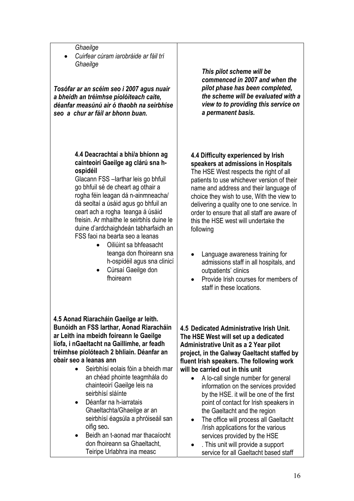*Ghaeilge* 

• *Cuirfear cúram iarobráide ar fáil trí Ghaeilge* 

*Tosófar ar an scéim seo i 2007 agus nuair a bheidh an tréimhse píolóiteach caite, déanfar measúnú air ó thaobh na seirbhíse seo a chur ar fáil ar bhonn buan.* 

#### **4.4 Deacrachtaí a bhí/a bhíonn ag cainteoirí Gaeilge ag clárú sna hospidéil**

Glacann FSS –Iarthar leis go bhfuil go bhfuil sé de cheart ag othair a rogha féin leagan dá n-ainmneacha/ dá seoltaí a úsáid agus go bhfuil an ceart ach a rogha teanga á úsáid freisin. Ar mhaithe le seirbhís duine le duine d'ardchaighdeán tabharfaidh an FSS faoi na bearta seo a leanas

- Oiliúint sa bhfeasacht teanga don fhoireann sna h-ospidéil agus sna clinicí
- Cúrsaí Gaeilge don fhoireann

#### **4.5 Aonad Riaracháin Gaeilge ar leith. Bunóidh an FSS Iarthar, Aonad Riaracháin ar Leith ina mbeidh foireann le Gaeilge líofa, i nGaeltacht na Gaillimhe, ar feadh tréimhse píolóteach 2 bhliain. Déanfar an obair seo a leanas ann**

- Seirbhísí eolais fóin a bheidh mar an chéad phointe teagmhála do chainteoirí Gaeilge leis na seirbhísí sláínte
- Déanfar na h-iarratais Ghaeltachta/Ghaeilge ar an seirbhísí éagsúla a phróiseáil san oifig seo**.**
- Beidh an t-aonad mar thacaíocht don fhoireann sa Ghaeltacht, Teiripe Urlabhra ina measc

*This pilot scheme will be commenced in 2007 and when the pilot phase has been completed, the scheme will be evaluated with a view to to providing this service on a permanent basis.* 

#### **4.4 Difficulty experienced by Irish speakers at admissions in Hospitals**

The HSE West respects the right of all patients to use whichever version of their name and address and their language of choice they wish to use, With the view to delivering a quality one to one service. In order to ensure that all staff are aware of this the HSE west will undertake the following

- Language awareness training for admissions staff in all hospitals, and outpatients' clinics
- Provide Irish courses for members of staff in these locations.

**4.5 Dedicated Administrative Irish Unit. The HSE West will set up a dedicated Administrative Unit as a 2 Year pilot project, in the Galway Gaeltacht staffed by fluent Irish speakers. The following work will be carried out in this unit** 

- A lo-call single number for general information on the services provided by the HSE. it will be one of the first point of contact for Irish speakers in the Gaeltacht and the region
- The office will process all Gaeltacht /Irish applications for the various services provided by the HSE
- . This unit will provide a support service for all Gaeltacht based staff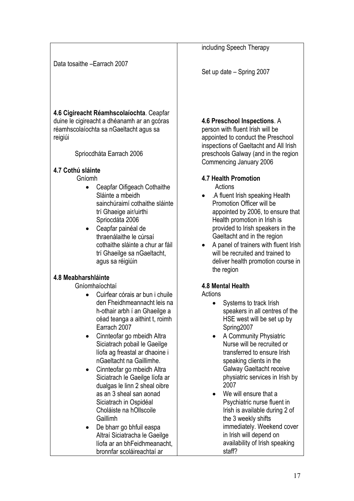Data tosaithe –Earrach 2007

**4.6 Cigireacht Réamhscolaíochta**. Ceapfar duine le cigireacht a dhéanamh ar an gcóras réamhscolaíochta sa nGaeltacht agus sa reigiúi

Spriocdháta Earrach 2006

### **4.7 Cothú sláinte**

Gníomh

- Ceapfar Oifigeach Cothaithe Sláinte a mbeidh sainchúraimí cothaithe sláinte trí Ghaeige air/uirthi Spriocdáta 2006
- Ceapfar painéal de thraenálaithe le cúrsaí cothaithe sláinte a chur ar fáil trí Ghaeilge sa nGaeltacht, agus sa réigiúin

### **4.8 Meabharshláinte**

Gníomhaíochtaí

- Cuirfear córais ar bun i chuile den Fheidhmeannacht leis na h-othair arbh í an Ghaeilge a céad teanga a aithint t, roimh Earrach 2007
- Cinnteofar go mbeidh Altra Siciatrach pobail le Gaeilge líofa ag freastal ar dhaoine i nGaeltacht na Gaillimhe.
- Cinnteofar go mbeidh Altra Siciatrach le Gaeilge líofa ar dualgas le linn 2 sheal oibre as an 3 sheal san aonad Siciatrach in Ospidéal Choláiste na hOllscoile Gaillimh
- De bharr go bhfuil easpa Altraí Siciatracha le Gaeilge líofa ar an bhFeidhmeanacht, bronnfar scoláireachtaí ar

including Speech Therapy

Set up date – Spring 2007

## **4.6 Preschool Inspections**. A

person with fluent Irish will be appointed to conduct the Preschool inspections of Gaeltacht and All Irish preschools Galway (and in the region Commencing January 2006

# **4.7 Health Promotion**

Actions

- .A fluent Irish speaking Health Promotion Officer will be appointed by 2006, to ensure that Health promotion in Irish is provided to Irish speakers in the Gaeltacht and in the region
- A panel of trainers with fluent Irish will be recruited and trained to deliver health promotion course in the region

# **4.8 Mental Health**

**Actions** 

- Systems to track Irish speakers in all centres of the HSE west will be set up by Spring2007
- A Community Physiatric Nurse will be recruited or transferred to ensure Irish speaking clients in the Galway Gaeltacht receive physiatric services in Irish by 2007
- We will ensure that a Psychiatric nurse fluent in Irish is available during 2 of the 3 weekly shifts immediately. Weekend cover in Irish will depend on availability of Irish speaking staff?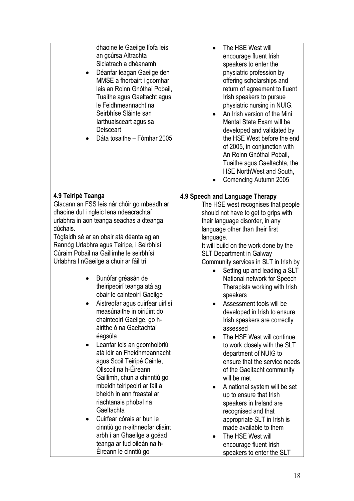dhaoine le Gaeilge líofa leis an gcúrsa Altrachta Siciatrach a dhéanamh

- Déanfar leagan Gaeilge den MMSE a fhorbairt i gcomhar leis an Roinn Gnóthaí Pobail, Tuaithe agus Gaeltacht agus le Feidhmeannacht na Seirbhíse Sláinte san Iarthuaisceart agus sa **Deisceart**
- Dáta tosaithe Fómhar 2005

# **4.9 Teiripé Teanga**

Glacann an FSS leis nár chóir go mbeadh ar dhaoine dul i ngleic lena ndeacrachtaí urlabhra in aon teanga seachas a dteanga dúchais.

Tógfaidh sé ar an obair atá déanta ag an Rannóg Urlabhra agus Teiripe, i Seirbhísí Cúraim Pobail na Gaillimhe le seirbhísí Urlabhra I nGaeilge a chuir ar fáil trí

- Bunófar gréasán de theiripeoirí teanga atá ag obair le cainteoirí Gaeilge
- Aistreofar agus cuirfear uirlisí measúnaithe in oiriúint do chainteoirí Gaeilge, go háirithe ó na Gaeltachtaí éagsúla
- Leanfar leis an gcomhoibriú atá idir an Fheidhmeannacht agus Scoil Teiripé Cainte, Ollscoil na h-Éireann Gaillimh, chun a chinntiú go mbeidh teiripeoirí ar fáil a bheidh in ann freastal ar riachtanais phobal na Gaeltachta
- Cuirfear córais ar bun le cinntiú go n-aithneofar cliaint arbh í an Ghaeilge a gcéad teanga ar fud oileán na h-Éireann le cinntiú go
- The HSE West will encourage fluent Irish speakers to enter the physiatric profession by offering scholarships and return of agreement to fluent Irish speakers to pursue physiatric nursing in NUIG.
- An Irish version of the Mini Mental State Exam will be developed and validated by the HSE West before the end of 2005, in conjunction with An Roinn Gnóthaí Pobail, Tuaithe agus Gaeltachta, the HSE NorthWest and South,
- Comencing Autumn 2005

### **4.9 Speech and Language Therapy**

The HSE west recognises that people should not have to get to grips with their language disorder, in any language other than their first language.

It will build on the work done by the SLT Department in Galway Community services in SLT in Irish by

- Setting up and leading a SLT National network for Speech Therapists working with Irish speakers
- Assessment tools will be developed in Irish to ensure Irish speakers are correctly assessed
- The HSE West will continue to work closely with the SLT department of NUIG to ensure that the service needs of the Gaeltacht community will be met
- A national system will be set up to ensure that Irish speakers in Ireland are recognised and that appropriate SLT in Irish is made available to them
- The HSE West will encourage fluent Irish speakers to enter the SLT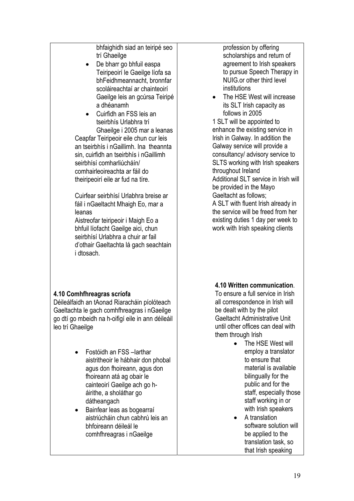bhfaighidh siad an teiripé seo trí Ghaeilge

De bharr go bhfuil easpa Teiripeoirí le Gaeilge líofa sa bhFeidhmeannacht, bronnfar scoláireachtaí ar chainteoirí Gaeilge leis an gcúrsa Teiripé a dhéanamh

• Cuirfidh an FSS leis an tseirbhís Urlabhra trí Ghaeilge i 2005 mar a leanas Ceapfar Teiripeoir eile chun cur leis an tseirbhís i nGaillimh. Ina theannta sin, cuirfidh an tseirbhís i nGaillimh seirbhísí comharliúcháín/ comhairleoireachta ar fáil do theiripeoirí eile ar fud na tíre.

Cuirfear seirbhísí Urlabhra breise ar fáil i nGaeltacht Mhaigh Eo, mar a leanas

Aistreofar teiripeoir i Maigh Eo a bhfuil líofacht Gaeilge aici, chun seirbhísí Urlabhra a chuir ar fail d'othair Gaeltachta lá gach seachtain i dtosach.

### **4.10 Comhfhreagras scríofa**

Déileálfaidh an tAonad Riaracháin píolóteach Gaeltachta le gach comhfhreagras i nGaeilge go dtí go mbeidh na h-oifigí eile in ann déileáil leo trí Ghaeilge

- Fostóidh an FSS –Iarthar aistritheoir le hábhair don phobal agus don fhoireann, agus don fhoireann atá ag obair le cainteoirí Gaeilge ach go háirithe, a sholáthar go dátheangach
- Bainfear leas as bogearraí aistriúcháin chun cabhrú leis an bhfoireann déileál le comhfhreagras i nGaeilge

profession by offering scholarships and return of agreement to Irish speakers to pursue Speech Therapy in NUIG.or other third level institutions

• The HSE West will increase its SLT Irish capacity as follows in 2005

1 SLT will be appointed to enhance the existing service in Irish in Galway. In addition the Galway service will provide a consultancy/ advisory service to SLTS working with Irish speakers throughout Ireland Additional SLT service in Irish will be provided in the Mayo Gaeltacht as follows; A SLT with fluent Irish already in the service will be freed from her existing duties 1 day per week to

work with Irish speaking clients

### **4.10 Written communication**.

To ensure a full service in Irish all correspondence in Irish will be dealt with by the pilot Gaeltacht Administrative Unit until other offices can deal with them through Irish

- The HSE West will employ a translator to ensure that material is available bilingually for the public and for the staff, especially those staff working in or with Irish speakers
- A translation software solution will be applied to the translation task, so that Irish speaking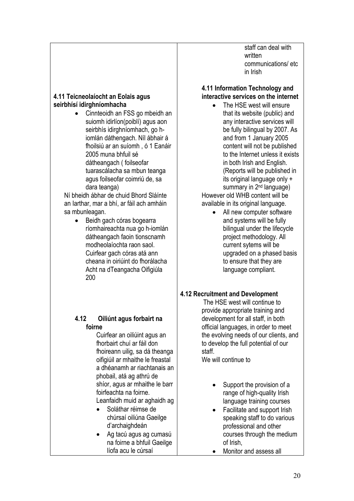staff can deal with written communications/ etc in Irish

#### **4.11 Teicneolaíocht an Eolais agus seirbhísí idirghníomhacha**

• Cinnteoidh an FSS go mbeidh an suiomh idirlíon(poiblí) agus aon seirbhís idirghníomhach, go hiomlán dáthengach. Níl ábhair á fhoilsiú ar an suíomh , ó 1 Eanáir 2005 muna bhfuil sé dátheangach ( foilseofar tuarascálacha sa mbun teanga agus foilseofar coimriú de, sa dara teanga)

Ní bheidh ábhar de chuid Bhord Sláínte an Iarthar, mar a bhí, ar fáil ach amháin sa mbunleagan.

• Beidh gach córas bogearra ríomhaireachta nua go h-iomlán dátheangach faoin tionscnamh modheolaíochta raon saol. Cuirfear gach córas atá ann cheana in oiriúint do fhorálacha Acht na dTeangacha Oifigiúla 200

#### **4.12 Oiliúnt agus forbairt na foirne**

Cuirfear an oiliúint agus an fhorbairt chuí ar fáil don fhoireann uilig, sa dá theanga oifigiúil ar mhaithe le freastal a dhéanamh ar riachtanais an phobail, atá ag athrú de shíor, agus ar mhaithe le barr foirfeachta na foirne. Leanfaidh muid ar aghaidh ag

- Soláthar réimse de chúrsaí oiliúna Gaeilge d'archaighdeán
- Ag tacú agus ag cumasú na foirne a bhfuil Gaeilge líofa acu le cúrsaí

# **4.11 Information Technology and interactive services on the internet**

- The HSE west will ensure that its website (public) and any interactive services will be fully bilingual by 2007. As and from 1 January 2005 content will not be published to the Internet unless it exists in both Irish and English. (Reports will be published in its original language only + summary in 2<sup>nd</sup> language) However old WHB content will be available in its original language.
	- All new computer software and systems will be fully bilingual under the lifecycle project methodology. All current sytems will be upgraded on a phased basis to ensure that they are language compliant.

# **4.12 Recruitment and Development**

 The HSE west will continue to provide appropriate training and development for all staff, in both official languages, in order to meet the evolving needs of our clients, and to develop the full potential of our staff.

We will continue to

- Support the provision of a range of high-quality Irish language training courses
- Facilitate and support Irish speaking staff to do various professional and other courses through the medium of Irish,
- Monitor and assess all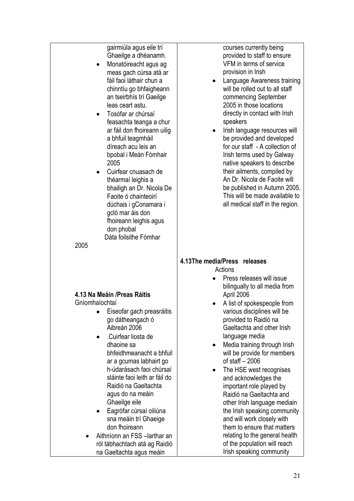gairmiúla agus eile trí Ghaeilge a dhéanamh.

- Monatóireacht agus ag meas gach cúrsa atá ar fáil faoi láthair chun a chinntíu go bhfaigheann an tseirbhís trí Gaeilge leas ceart astu.
- Tosófar ar chúrsaí feasachta teanga a chur ar fáil don fhoireann uilig a bhfuil teagmháil díreach acu leis an bpobal i Meán Fómhair 2005
- Cuirfear cnuasach de théarmaí leighis a bhailigh an Dr. Nicola De Faoite ó chainteoirí dúchais i gConamara i gcló mar áis don fhoireann leighis agus don phobal Dáta foilsithe Fómhar

• Eiseofar gach preasráitis go dátheangach ó Aibreán 2006 • .Cuirfear liosta de dhaoine sa

> bhfeidhmeanacht a bhfuil ar a gcumas labhairt go h-údarásach faoi chúrsaí sláinte faoi leith ar fáil do Raidió na Gaeltachta agus do na meáin Ghaeilge eile

Eagrófar cúrsaí oiliúna sna meáin trí Ghaeige

• Aithníonn an FSS –Iarthar an ról tábhachtach atá ag Raidió na Gaeltachta agus meáin

don fhoireann

**4.13 Na Meáin /Preas Ráitis** 

Gníomhaíochtaí

courses currently being provided to staff to ensure VFM in terms of service provision in Irish

- Language Awareness training will be rolled out to all staff commencing September 2005 in those locations directly in contact with Irish speakers
- Irish language resources will be provided and developed for our staff - A collection of Irish terms used by Galway native speakers to describe their ailments, compiled by An Dr. Nicola de Faoite will be published in Autumn 2005. This will be made available to all medical staff in the region.

#### 2005

# **4.13The media/Press releases**

**Actions** 

- Press releases will issue bilingually to all media from April 2006
- A list of spokespeople from various disciplines will be provided to Raidió na Gaeltachta and other Irish language media
- Media training through Irish will be provide for members of staff – 2006
- The HSE west recognises and acknowledges the important role played by Raidió na Gaeltachta and other Irish language mediain the Irish speaking community and will work closely with them to ensure that matters relating to the general health of the population will reach Irish speaking community

21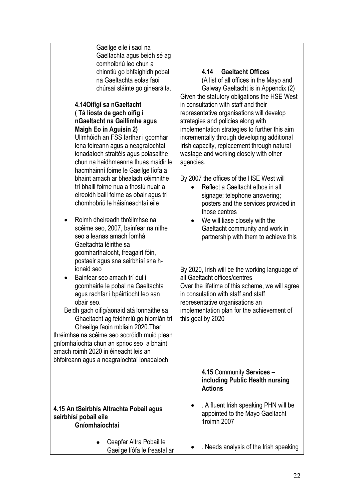Gaeilge eile i saol na Gaeltachta agus beidh sé ag comhoibriú leo chun a chinntiú go bhfaighidh pobal na Gaeltachta eolas faoi chúrsaí sláinte go ginearálta.

#### **4.14Oifigí sa nGaeltacht ( Tá liosta de gach oifig i nGaeltacht na Gaillimhe agus Maigh Eo in Aguisín 2)**

Ullmhóidh an FSS Iarthar i gcomhar lena foireann agus a neagraíochtaí ionadaíoch straitéis agus polasaithe chun na haidhmeanna thuas maidir le hacmhainní foirne le Gaeilge líofa a bhaint amach ar bhealach céimnithe trí bhaill foirne nua a fhostú nuair a eireoidh baill foirne as obair agus trí chomhobriú le háisíneachtaí eile

- Roimh dheireadh thréiimhse na scéime seo, 2007, bainfear na nithe seo a leanas amach Íomhá Gaeltachta léirithe sa gcomharthaíocht, freagairt fóin, postaeir agus sna seirbhísí sna hionaid seo
- Bainfear seo amach trí dul i gcomhairle le pobal na Gaeltachta agus rachfar i bpáirtíocht leo san obair seo.

Beidh gach oifig/aonaid atá lonnaithe sa Ghaeltacht ag feidhmiú go hiomlán trí Ghaeilge faoin mbliain 2020.Thar

thréimhse na scéime seo socróidh muid plean gníomhaíochta chun an sprioc seo a bhaint amach roimh 2020 in éineacht leis an bhfoireann agus a neagraíochtaí ionadaíoch

#### **4.15 An tSeirbhís Altrachta Pobail agus seirbhísí pobail eile Gníomhaíochtaí**

• Ceapfar Altra Pobail le Gaeilge líófa le freastal ar

# **4.14 Gaeltacht Offices**

(A list of all offices in the Mayo and Galway Gaeltacht is in Appendix (2) Given the statutory obligations the HSE West in consultation with staff and their representative organisations will develop strategies and policies along with implementation strategies to further this aim incrementally through developing additional Irish capacity, replacement through natural wastage and working closely with other agencies.

By 2007 the offices of the HSE West will

- Reflect a Gaeltacht ethos in all signage; telephone answering; posters and the services provided in those centres
- We will liase closely with the Gaeltacht community and work in partnership with them to achieve this

By 2020, Irish will be the working language of all Gaeltacht offices/centres Over the lifetime of this scheme, we will agree in consulation with staff and staff representative organisations an implementation plan for the achievement of this goal by 2020

#### **4.15** Community **Services – including Public Health nursing Actions**

- . A fluent Irish speaking PHN will be appointed to the Mayo Gaeltacht 1roimh 2007
- . Needs analysis of the Irish speaking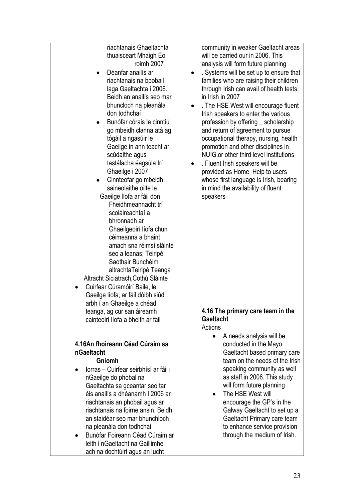riachtanais Ghaeltachta thuaisceart Mhaigh Eo roimh 2007

- Déanfar anailís ar riachtanais na bpobail laga Gaeltachta i 2006. Beidh an anailís seo mar bhuncloch na pleanála don todhchaí
- Bunófar córais le cinntiú go mbeidh clanna atá ag tógáil a ngasúir le Gaeilge in ann teacht ar scúdaithe agus tastálacha éagsúla trí Ghaeilge i 2007
- Cinnteofar go mbeidh saineolaithe oilte le Gaeilge líofa ar fáil don Fheidhmeannacht trí scoláireachtaí a bhronnadh ar Ghaeilgeoirí líofa chun céimeanna a bhaint amach sna réimsí sláinte seo a leanas; Teiripé Saothair Bunchéim altrachtaTeiripé Teanga Altracht Siciatrach,Cothú Sláinte
- Cuirfear Cúramóirí Baile, le Gaeilge líofa, ar fáil dóibh siúd arbh í an Ghaeilge a chéad teanga, ag cur san áireamh cainteoirí líofa a bheith ar fail

# **4.16An fhoireann Céad Cúraim sa nGaeltacht**

#### **Gníomh**

- Iorras Cuirfear seirbhísí ar fáil i nGaeilge do phobal na Gaeltachta sa gceantar seo tar éis anailís a dhéanamh I 2006 ar riachtanais an phobail agus ar riachtanais na foirne ansin. Beidh an staidéar seo mar bhunchloch na pleanála don todhchaí
- Bunófar Foireann Céad Cúraim ar leith i nGaeltacht na Gaillimhe ach na dochtúirí agus an lucht

community in weaker Gaeltacht areas will be carried our in 2006. This analysis will form future planning

- . Systems will be set up to ensure that families who are raising their children through Irish can avail of health tests in Irish in 2007
- . The HSE West will encourage fluent Irish speakers to enter the various profession by offering \_ scholarship and return of agreement to pursue occupational therapy, nursing, health promotion and other disciplines in NUIG.or other third level institutions
- . Fluent Irish speakers will be provided as Home Help to users whose first language is Irish, bearing in mind the availability of fluent speakers

#### **4.16 The primary care team in the Gaeltacht Actions**

- A needs analysis will be conducted in the Mayo Gaeltacht based primary care team on the needs of the Irish speaking community as well as staff.in 2006. This study will form future planning
- The HSE West will encourage the GP's in the Galway Gaeltacht to set up a Gaeltacht Primary care team to enhance service provision through the medium of Irish.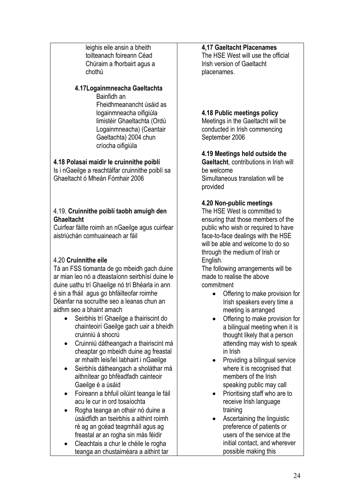leighis eile ansin a bheith toilteanach foireann Céad Chúraim a fhorbairt agus a chothú

### **4.17Logainmneacha Gaeltachta**

Bainfidh an Fheidhmeanancht úsáid as logainmneacha oifigiúla limistéir Ghaeltachta (Ordú Logainmneacha) (Ceantair Gaeltachta) 2004 chun críocha oifigiúla

### **4.18 Polasaí maidir le cruinnithe poiblí**

Is i nGaeilge a reachtálfar cruinnithe poiblí sa Ghaeltacht ó Mheán Fómhair 2006

#### 4.19. **Cruinnithe poiblí taobh amuigh den Ghaeltacht**

Cuirfear fáilte roimh an nGaeilge agus cuirfear aistriúchán comhuaineach ar fáil

# 4.20 **Cruinnithe eile**

Tá an FSS tiomanta de go mbeidh gach duine ar mian leo nó a dteastaíonn seirbhísí duine le duine uathu trí Ghaeilge nó trí Bhéarla in ann é sin a fháil agus go bhfáilteofar roimhe Déanfar na socruithe seo a leanas chun an aidhm seo a bhaint amach

- Seirbhis trí Ghaeilge a thairiscint do chainteoirí Gaeilge gach uair a bheidh cruinniú á shocrú
- Cruinniú dátheangach a thairiscint má cheaptar go mbeidh duine ag freastal ar mhaith leis/leí labhairt i nGaeilge
- Seirbhís dátheangach a sholáthar má aithnítear go bhféadfadh cainteoir Gaeilge é a úsáid
- Foireann a bhfuil oilúint teanga le fáil acu le cur in ord tosaíochta
- Rogha teanga an othair nó duine a úsáidfidh an tseirbhis a aithint roimh ré ag an gcéad teagmháíl agus ag freastal ar an rogha sin más féidir
- Cleachtais a chur le chéile le rogha teanga an chustaiméara a aithint tar

# **4,17 Gaeltacht Placenames**

The HSE West will use the official Irish version of Gaeltacht placenames.

# **4.18 Public meetings policy**

Meetings in the Gaeltacht will be conducted in Irish commencing September 2006

### **4.19 Meetings held outside the**

**Gaeltacht**, contributions in Irish will be welcome Simultaneous translation will be provided

#### **4.20 Non-public meetings**

The HSE West is committed to ensuring that those members of the public who wish or required to have face-to-face dealings with the HSE will be able and welcome to do so through the medium of Irish or English.

The following arrangements will be made to realise the above commitment

- Offering to make provision for Irish speakers every time a meeting is arranged
- Offering to make provision for a bilingual meeting when it is thought likely that a person attending may wish to speak in Irish
- Providing a bilingual service where it is recognised that members of the Irish speaking public may call
- Prioritising staff who are to receive Irish language training
- Ascertaining the linguistic preference of patients or users of the service at the initial contact, and wherever possible making this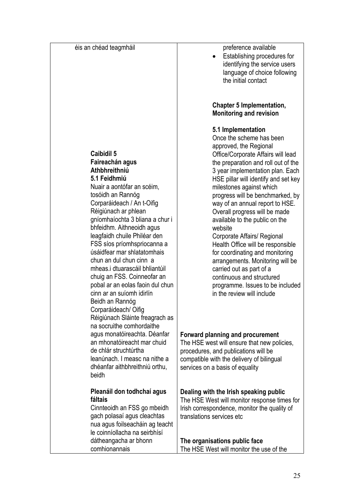éis an chéad teagmháil **Caibidil 5 Faireachán agus Athbhreithniú 5.1 Feidhmiú**  Nuair a aontófar an scéim, tosóidh an Rannóg Corparáideach / An t-Oifig Réigiúnach ar phlean gníomhaíochta 3 bliana a chur i bhfeidhm. Aithneoidh agus leagfaidh chuile Philéar den FSS síos príomhspriocanna a úsáidfear mar shlatatomhais chun an dul chun cinn a mheas.i dtuarascáil bhliantúil chuig an FSS. Coinneofar an pobal ar an eolas faoin dul chun cinn ar an suíomh idirlín Beidh an Rannóg Corparáideach/ Oifig Réigiúnach Sláinte freagrach as na socruithe comhordaithe agus monatóireachta. Déanfar an mhonatóireacht mar chuid de chlár struchtúrtha leanúnach. I measc na nithe a dhéanfar aithbhreithniú orthu, beidh **Pleanáil don todhchaí agus fáltais**  Cinnteoidh an FSS go mbeidh gach polasaí agus cleachtas nua agus foilseacháin ag teacht le coinníollacha na seirbhísí dátheangacha ar bhonn comhionannais website

preference available

• Establishing procedures for identifying the service users language of choice following the initial contact

### **Chapter 5 Implementation, Monitoring and revision**

#### **5.1 Implementation**

Once the scheme has been approved, the Regional Office/Corporate Affairs will lead the preparation and roll out of the 3 year implementation plan. Each HSE pillar will identify and set key milestones against which progress will be benchmarked, by way of an annual report to HSE. Overall progress will be made available to the public on the Corporate Affairs/ Regional Health Office will be responsible for coordinating and monitoring arrangements. Monitoring will be carried out as part of a continuous and structured programme. Issues to be included in the review will include

#### **Forward planning and procurement**

The HSE west will ensure that new policies, procedures, and publications will be compatible with the delivery of bilingual services on a basis of equality

### **Dealing with the Irish speaking public**

The HSE West will monitor response times for Irish correspondence, monitor the quality of translations services etc

**The organisations public face**  The HSE West will monitor the use of the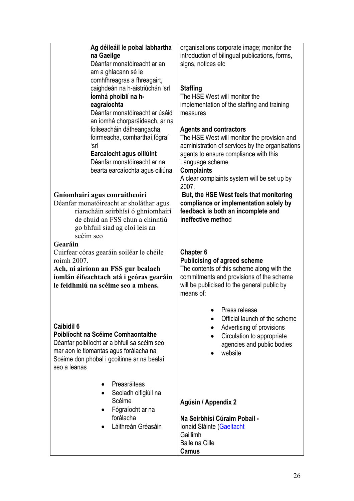| Ag déileáil le pobal labhartha<br>na Gaeilge<br>Déanfar monatóireacht ar an<br>am a ghlacann sé le<br>comhfhreagras a fhreagairt,<br>caighdeán na h-aistriúchán 'srl<br>lomhá phoiblí na h-<br>eagraíochta<br>Déanfar monatóireacht ar úsáid<br>an íomhá chorparáideach, ar na<br>foilseacháin dátheangacha,<br>foirmeacha, comharthaí, fógraí<br>ʻsrl<br>Earcaíocht agus oiliúint<br>Déanfar monatóireacht ar na<br>bearta earcaíochta agus oiliúna | organisations corporate image; monitor the<br>introduction of bilingual publications, forms,<br>signs, notices etc<br><b>Staffing</b><br>The HSE West will monitor the<br>implementation of the staffing and training<br>measures<br><b>Agents and contractors</b><br>The HSE West will monitor the provision and<br>administration of services by the organisations<br>agents to ensure compliance with this<br>Language scheme<br><b>Complaints</b><br>A clear complaints system will be set up by<br>2007. |
|------------------------------------------------------------------------------------------------------------------------------------------------------------------------------------------------------------------------------------------------------------------------------------------------------------------------------------------------------------------------------------------------------------------------------------------------------|---------------------------------------------------------------------------------------------------------------------------------------------------------------------------------------------------------------------------------------------------------------------------------------------------------------------------------------------------------------------------------------------------------------------------------------------------------------------------------------------------------------|
| Gníomhairí agus conraitheoirí<br>Déanfar monatóireacht ar sholáthar agus<br>riaracháin seirbhísí ó ghníomhairí<br>de chuid an FSS chun a chinntiú<br>go bhfuil siad ag cloí leis an<br>scéim seo                                                                                                                                                                                                                                                     | But, the HSE West feels that monitoring<br>compliance or implementation solely by<br>feedback is both an incomplete and<br>ineffective method                                                                                                                                                                                                                                                                                                                                                                 |
| Gearáin<br>Cuirfear córas gearáin soiléar le chéile<br>roimh 2007.<br>Ach, ní airíonn an FSS gur bealach<br>iomlán éifeachtach atá i gcóras gearáin<br>le feidhmiú na scéime seo a mheas.                                                                                                                                                                                                                                                            | <b>Chapter 6</b><br><b>Publicising of agreed scheme</b><br>The contents of this scheme along with the<br>commitments and provisions of the scheme<br>will be publicised to the general public by<br>means of:                                                                                                                                                                                                                                                                                                 |
| Caibidil 6<br>Poiblíocht na Scéime Comhaontaithe<br>Déanfar poiblíocht ar a bhfuil sa scéim seo<br>mar aon le tiomantas agus forálacha na<br>Scéime don phobal i gcoitinne ar na bealaí<br>seo a leanas                                                                                                                                                                                                                                              | Press release<br>Official launch of the scheme<br>Advertising of provisions<br>Circulation to appropriate<br>$\bullet$<br>agencies and public bodies<br>website                                                                                                                                                                                                                                                                                                                                               |
| Preasráiteas<br>Seoladh oifigiúil na<br>Scéime<br>Fógraíocht ar na<br>forálacha<br>Láithreán Gréasáin                                                                                                                                                                                                                                                                                                                                                | Agúsin / Appendix 2<br>Na Seirbhísí Cúraim Pobail -<br>Ionaid Sláinte (Gaeltacht<br>Gaillimh<br>Baile na Cille<br>Camus                                                                                                                                                                                                                                                                                                                                                                                       |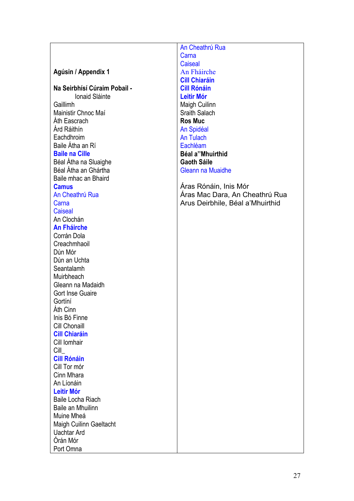|                              | An Cheathrú Rua                   |
|------------------------------|-----------------------------------|
|                              | Carna                             |
|                              | Caiseal                           |
| Agúsin / Appendix 1          | An Fháirche                       |
|                              | <b>Cill Chiaráin</b>              |
| Na Seirbhísí Cúraim Pobail - | <b>Cill Rónáin</b>                |
| Ionaid Sláinte               | <b>Leitir Mór</b>                 |
| Gaillimh                     | Maigh Cuilinn                     |
| Mainistir Chnoc Maí          | <b>Sraith Salach</b>              |
| Ath Eascrach                 | <b>Ros Muc</b>                    |
| Árd Ráithín                  | An Spidéal                        |
| Eachdhroim                   | <b>An Tulach</b>                  |
| Baile Átha an Rí             | Eachléam                          |
| <b>Baile na Cille</b>        | Béal a"Mhuirthid                  |
| Béal Átha na Sluaighe        | <b>Gaoth Sáile</b>                |
| Béal Átha an Ghártha         | Gleann na Muaidhe                 |
| Baile mhac an Bhaird         |                                   |
| <b>Camus</b>                 | Áras Rónáin, Inis Mór             |
| An Cheathrú Rua              | Áras Mac Dara, An Cheathrú Rua    |
| Carna                        | Arus Deirbhile, Béal a' Mhuirthid |
| <b>Caiseal</b>               |                                   |
| An Clochán                   |                                   |
| <b>An Fháirche</b>           |                                   |
| Corrán Dola                  |                                   |
| Creachmhaoil                 |                                   |
| Dún Mór                      |                                   |
| Dún an Uchta                 |                                   |
| Seantalamh                   |                                   |
| Muirbheach                   |                                   |
| Gleann na Madaidh            |                                   |
| <b>Gort Inse Guaire</b>      |                                   |
| Gortíní                      |                                   |
| Áth Cinn                     |                                   |
| Inis Bó Finne                |                                   |
| Cill Chonaill                |                                   |
| <b>Cill Chiaráin</b>         |                                   |
| Cill Iomhair                 |                                   |
| Cill                         |                                   |
| <b>Cill Rónáin</b>           |                                   |
| Cill Tor mór                 |                                   |
| Cinn Mhara                   |                                   |
| An Líonáin                   |                                   |
| <b>Leitir Mór</b>            |                                   |
| Baile Locha Riach            |                                   |
| Baile an Mhuilinn            |                                   |
| Muine Mheá                   |                                   |
| Maigh Cuilinn Gaeltacht      |                                   |
| <b>Uachtar Ard</b>           |                                   |
| Órán Mór                     |                                   |
| Port Omna                    |                                   |
|                              |                                   |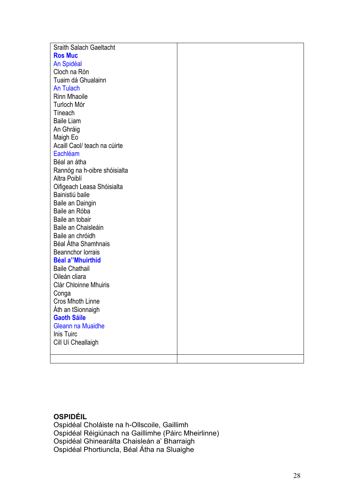| <b>Sraith Salach Gaeltacht</b>                   |  |
|--------------------------------------------------|--|
| <b>Ros Muc</b>                                   |  |
| An Spidéal                                       |  |
| Cloch na Rón                                     |  |
| Tuaim dá Ghualainn                               |  |
| An Tulach                                        |  |
| <b>Rinn Mhaoile</b>                              |  |
| Turloch Mór                                      |  |
|                                                  |  |
| Tíneach<br><b>Baile Liam</b>                     |  |
|                                                  |  |
| An Ghráig                                        |  |
| Maigh Eo                                         |  |
| Acaill Caol/ teach na cúirte                     |  |
| Eachléam                                         |  |
| Béal an átha                                     |  |
| Rannóg na h-oibre shóisialta                     |  |
| Altra Poiblí                                     |  |
| Oifigeach Leasa Shóisialta                       |  |
| Bainistiú baile                                  |  |
| Baile an Daingin                                 |  |
| Baile an Róba                                    |  |
| Baile an tobair                                  |  |
| Baile an Chaisleáin                              |  |
| Baile an chróidh                                 |  |
| Béal Átha Shamhnais                              |  |
| <b>Beannchor lorrais</b>                         |  |
| <b>Béal a"Mhuirthid</b><br><b>Baile Chathail</b> |  |
| Oileán cliara                                    |  |
| <b>Clár Chloinne Mhuiris</b>                     |  |
|                                                  |  |
| Conga<br>Cros Mhoth Linne                        |  |
| Áth an tSionnaigh                                |  |
| <b>Gaoth Sáile</b>                               |  |
| <b>Gleann na Muaidhe</b>                         |  |
| Inis Tuirc                                       |  |
| Cill Uí Cheallaigh                               |  |
|                                                  |  |
|                                                  |  |

# **OSPIDÉIL**

Ospidéal Choláiste na h-Ollscoile, Gaillimh Ospidéal Réigiúnach na Gaillimhe (Páirc Mheirlinne) Ospidéal Ghinearálta Chaisleán a' Bharraigh Ospidéal Phortiuncla, Béal Átha na Sluaighe